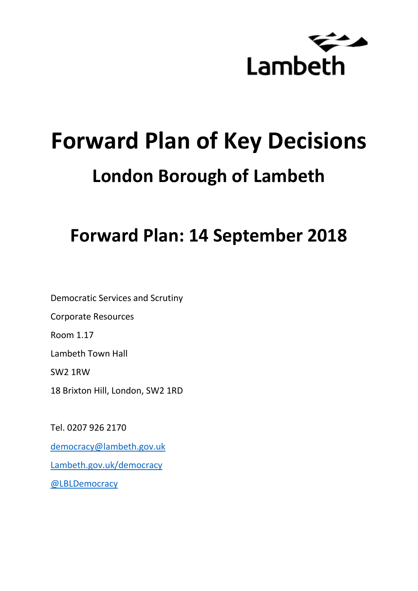

# **Forward Plan of Key Decisions London Borough of Lambeth**

# **Forward Plan: 14 September 2018**

Democratic Services and Scrutiny Corporate Resources Room 1.17 Lambeth Town Hall SW2 1RW 18 Brixton Hill, London, SW2 1RD

Tel. 0207 926 2170 [democracy@lambeth.gov.uk](mailto:democracy@lambeth.gov.uk) [Lambeth.gov.uk/democracy](https://www.lambeth.gov.uk/elections-and-council/meetings-minutes-and-agendas/getting-involved-in-decision-making-guide) [@LBLDemocracy](https://twitter.com/LBLDemocracy?lang=en)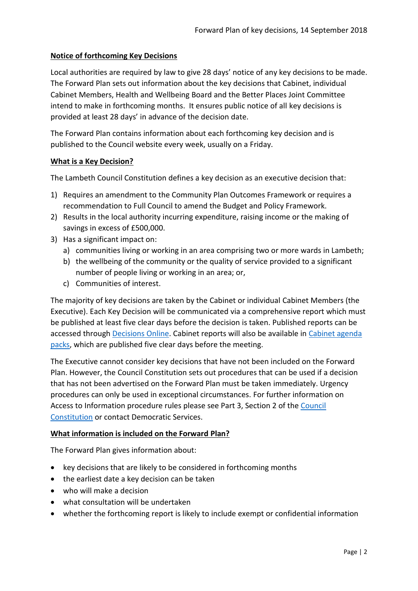# **Notice of forthcoming Key Decisions**

Local authorities are required by law to give 28 days' notice of any key decisions to be made. The Forward Plan sets out information about the key decisions that Cabinet, individual Cabinet Members, Health and Wellbeing Board and the Better Places Joint Committee intend to make in forthcoming months. It ensures public notice of all key decisions is provided at least 28 days' in advance of the decision date.

The Forward Plan contains information about each forthcoming key decision and is published to the Council website every week, usually on a Friday.

#### **What is a Key Decision?**

The Lambeth Council Constitution defines a key decision as an executive decision that:

- 1) Requires an amendment to the Community Plan Outcomes Framework or requires a recommendation to Full Council to amend the Budget and Policy Framework.
- 2) Results in the local authority incurring expenditure, raising income or the making of savings in excess of £500,000.
- 3) Has a significant impact on:
	- a) communities living or working in an area comprising two or more wards in Lambeth;
	- b) the wellbeing of the community or the quality of service provided to a significant number of people living or working in an area; or,
	- c) Communities of interest.

The majority of key decisions are taken by the Cabinet or individual Cabinet Members (the Executive). Each Key Decision will be communicated via a comprehensive report which must be published at least five clear days before the decision is taken. Published reports can be accessed through [Decisions Online.](http://moderngov.lambeth.gov.uk/mgDelegatedDecisions.aspx?bcr=1&DM=0&DS=2&K=0&DR=&V=0) Cabinet reports will also be available in [Cabinet agenda](https://moderngov.lambeth.gov.uk/ieListMeetings.aspx?CommitteeId=225)  [packs,](https://moderngov.lambeth.gov.uk/ieListMeetings.aspx?CommitteeId=225) which are published five clear days before the meeting.

The Executive cannot consider key decisions that have not been included on the Forward Plan. However, the Council Constitution sets out procedures that can be used if a decision that has not been advertised on the Forward Plan must be taken immediately. Urgency procedures can only be used in exceptional circumstances. For further information on Access to Information procedure rules please see Part 3, Section 2 of the [Council](http://moderngov.lambeth.gov.uk/ieListMeetings.aspx?CId=738&info=1&MD=Constitution)  [Constitution](http://moderngov.lambeth.gov.uk/ieListMeetings.aspx?CId=738&info=1&MD=Constitution) or contact Democratic Services.

# **What information is included on the Forward Plan?**

The Forward Plan gives information about:

- key decisions that are likely to be considered in forthcoming months
- the earliest date a key decision can be taken
- who will make a decision
- what consultation will be undertaken
- whether the forthcoming report is likely to include exempt or confidential information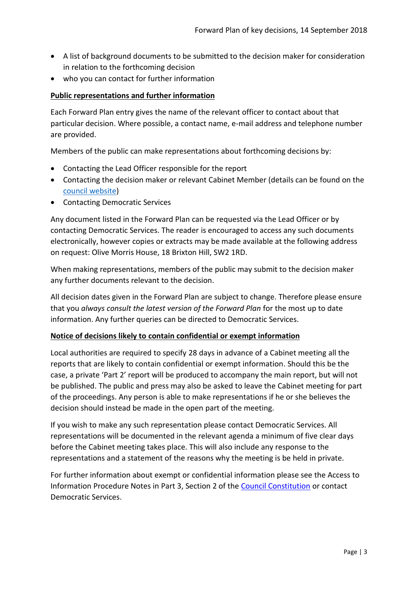- A list of background documents to be submitted to the decision maker for consideration in relation to the forthcoming decision
- who you can contact for further information

### **Public representations and further information**

Each Forward Plan entry gives the name of the relevant officer to contact about that particular decision. Where possible, a contact name, e-mail address and telephone number are provided.

Members of the public can make representations about forthcoming decisions by:

- Contacting the Lead Officer responsible for the report
- Contacting the decision maker or relevant Cabinet Member (details can be found on the [council website\)](http://moderngov.lambeth.gov.uk/mgMemberIndex.aspx?bcr=1)
- Contacting Democratic Services

Any document listed in the Forward Plan can be requested via the Lead Officer or by contacting Democratic Services. The reader is encouraged to access any such documents electronically, however copies or extracts may be made available at the following address on request: Olive Morris House, 18 Brixton Hill, SW2 1RD.

When making representations, members of the public may submit to the decision maker any further documents relevant to the decision.

All decision dates given in the Forward Plan are subject to change. Therefore please ensure that you *always consult the latest version of the Forward Plan* for the most up to date information. Any further queries can be directed to Democratic Services.

#### **Notice of decisions likely to contain confidential or exempt information**

Local authorities are required to specify 28 days in advance of a Cabinet meeting all the reports that are likely to contain confidential or exempt information. Should this be the case, a private 'Part 2' report will be produced to accompany the main report, but will not be published. The public and press may also be asked to leave the Cabinet meeting for part of the proceedings. Any person is able to make representations if he or she believes the decision should instead be made in the open part of the meeting.

If you wish to make any such representation please contact Democratic Services. All representations will be documented in the relevant agenda a minimum of five clear days before the Cabinet meeting takes place. This will also include any response to the representations and a statement of the reasons why the meeting is be held in private.

For further information about exempt or confidential information please see the Access to Information Procedure Notes in Part 3, Section 2 of the [Council Constitution](http://www.lambeth.gov.uk/sites/default/files/ec-Council-Constitution-2014-15-approved-with-changes-November-2014.pdf) or contact Democratic Services.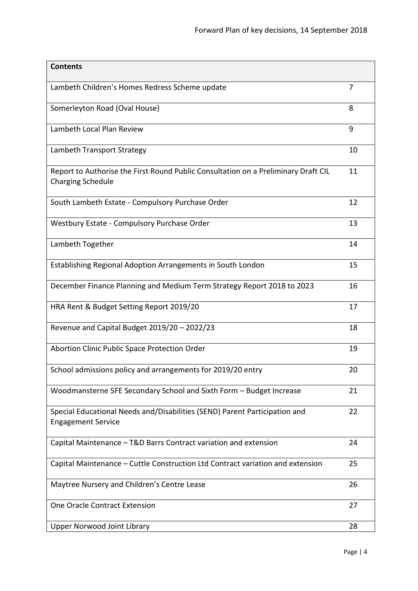| <b>Contents</b>                                                                                                |    |
|----------------------------------------------------------------------------------------------------------------|----|
| Lambeth Children's Homes Redress Scheme update                                                                 | 7  |
| Somerleyton Road (Oval House)                                                                                  | 8  |
| Lambeth Local Plan Review                                                                                      | 9  |
| Lambeth Transport Strategy                                                                                     | 10 |
| Report to Authorise the First Round Public Consultation on a Preliminary Draft CIL<br><b>Charging Schedule</b> | 11 |
| South Lambeth Estate - Compulsory Purchase Order                                                               | 12 |
| Westbury Estate - Compulsory Purchase Order                                                                    | 13 |
| Lambeth Together                                                                                               | 14 |
| Establishing Regional Adoption Arrangements in South London                                                    | 15 |
| December Finance Planning and Medium Term Strategy Report 2018 to 2023                                         | 16 |
| HRA Rent & Budget Setting Report 2019/20                                                                       | 17 |
| Revenue and Capital Budget 2019/20 - 2022/23                                                                   | 18 |
| Abortion Clinic Public Space Protection Order                                                                  | 19 |
| School admissions policy and arrangements for 2019/20 entry                                                    | 20 |
| Woodmansterne 5FE Secondary School and Sixth Form - Budget Increase                                            | 21 |
| Special Educational Needs and/Disabilities (SEND) Parent Participation and<br><b>Engagement Service</b>        | 22 |
| Capital Maintenance - T&D Barrs Contract variation and extension                                               | 24 |
| Capital Maintenance – Cuttle Construction Ltd Contract variation and extension                                 | 25 |
| Maytree Nursery and Children's Centre Lease                                                                    | 26 |
| One Oracle Contract Extension                                                                                  | 27 |
| <b>Upper Norwood Joint Library</b>                                                                             | 28 |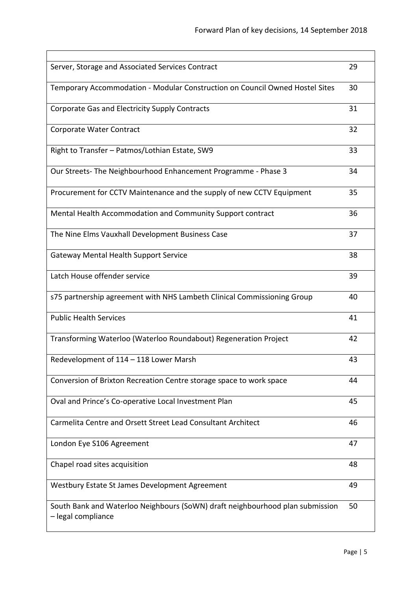| Server, Storage and Associated Services Contract                                                    | 29 |
|-----------------------------------------------------------------------------------------------------|----|
| Temporary Accommodation - Modular Construction on Council Owned Hostel Sites                        | 30 |
| Corporate Gas and Electricity Supply Contracts                                                      | 31 |
| Corporate Water Contract                                                                            | 32 |
| Right to Transfer - Patmos/Lothian Estate, SW9                                                      | 33 |
| Our Streets-The Neighbourhood Enhancement Programme - Phase 3                                       | 34 |
| Procurement for CCTV Maintenance and the supply of new CCTV Equipment                               | 35 |
| Mental Health Accommodation and Community Support contract                                          | 36 |
| The Nine Elms Vauxhall Development Business Case                                                    | 37 |
| <b>Gateway Mental Health Support Service</b>                                                        | 38 |
| Latch House offender service                                                                        | 39 |
| s75 partnership agreement with NHS Lambeth Clinical Commissioning Group                             | 40 |
| <b>Public Health Services</b>                                                                       | 41 |
| Transforming Waterloo (Waterloo Roundabout) Regeneration Project                                    | 42 |
| Redevelopment of 114 - 118 Lower Marsh                                                              | 43 |
| Conversion of Brixton Recreation Centre storage space to work space                                 | 44 |
| Oval and Prince's Co-operative Local Investment Plan                                                | 45 |
| Carmelita Centre and Orsett Street Lead Consultant Architect                                        | 46 |
| London Eye S106 Agreement                                                                           | 47 |
| Chapel road sites acquisition                                                                       | 48 |
| Westbury Estate St James Development Agreement                                                      | 49 |
| South Bank and Waterloo Neighbours (SoWN) draft neighbourhood plan submission<br>- legal compliance | 50 |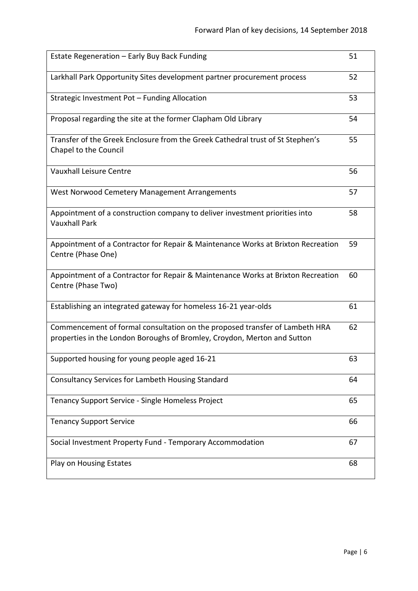| Estate Regeneration - Early Buy Back Funding                                                                                                            | 51 |
|---------------------------------------------------------------------------------------------------------------------------------------------------------|----|
| Larkhall Park Opportunity Sites development partner procurement process                                                                                 | 52 |
| Strategic Investment Pot - Funding Allocation                                                                                                           | 53 |
| Proposal regarding the site at the former Clapham Old Library                                                                                           | 54 |
| Transfer of the Greek Enclosure from the Greek Cathedral trust of St Stephen's<br>Chapel to the Council                                                 | 55 |
| Vauxhall Leisure Centre                                                                                                                                 | 56 |
| West Norwood Cemetery Management Arrangements                                                                                                           | 57 |
| Appointment of a construction company to deliver investment priorities into<br><b>Vauxhall Park</b>                                                     | 58 |
| Appointment of a Contractor for Repair & Maintenance Works at Brixton Recreation<br>Centre (Phase One)                                                  | 59 |
| Appointment of a Contractor for Repair & Maintenance Works at Brixton Recreation<br>Centre (Phase Two)                                                  | 60 |
| Establishing an integrated gateway for homeless 16-21 year-olds                                                                                         | 61 |
| Commencement of formal consultation on the proposed transfer of Lambeth HRA<br>properties in the London Boroughs of Bromley, Croydon, Merton and Sutton | 62 |
| Supported housing for young people aged 16-21                                                                                                           | 63 |
| Consultancy Services for Lambeth Housing Standard                                                                                                       | 64 |
| Tenancy Support Service - Single Homeless Project                                                                                                       | 65 |
| <b>Tenancy Support Service</b>                                                                                                                          | 66 |
| Social Investment Property Fund - Temporary Accommodation                                                                                               | 67 |
| Play on Housing Estates                                                                                                                                 | 68 |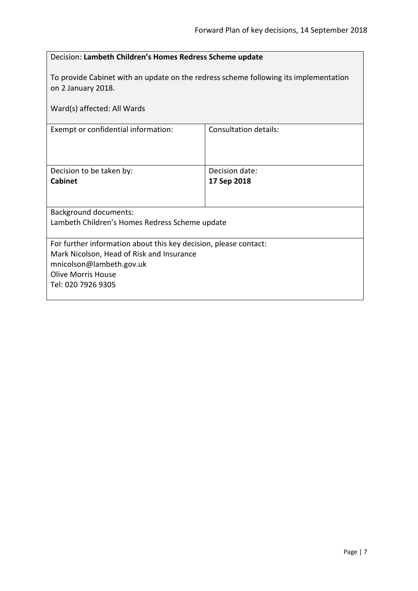<span id="page-6-0"></span> $\overline{\phantom{0}}$ 

| Decision: Lambeth Children's Homes Redress Scheme update                                                                                                                                     |                              |  |
|----------------------------------------------------------------------------------------------------------------------------------------------------------------------------------------------|------------------------------|--|
| To provide Cabinet with an update on the redress scheme following its implementation<br>on 2 January 2018.                                                                                   |                              |  |
| Ward(s) affected: All Wards                                                                                                                                                                  |                              |  |
| Exempt or confidential information:                                                                                                                                                          | <b>Consultation details:</b> |  |
| Decision to be taken by:                                                                                                                                                                     | Decision date:               |  |
| Cabinet                                                                                                                                                                                      | 17 Sep 2018                  |  |
| <b>Background documents:</b>                                                                                                                                                                 |                              |  |
| Lambeth Children's Homes Redress Scheme update                                                                                                                                               |                              |  |
| For further information about this key decision, please contact:<br>Mark Nicolson, Head of Risk and Insurance<br>mnicolson@lambeth.gov.uk<br><b>Olive Morris House</b><br>Tel: 020 7926 9305 |                              |  |

 $\mathbf{r}$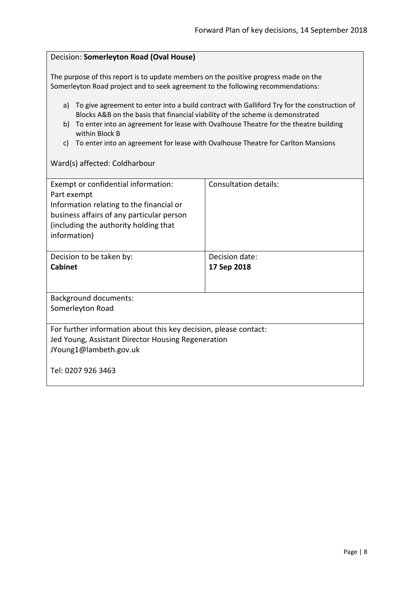<span id="page-7-0"></span>

| Decision: Somerleyton Road (Oval House)                                                                                                                                                                                                                                                       |                |  |
|-----------------------------------------------------------------------------------------------------------------------------------------------------------------------------------------------------------------------------------------------------------------------------------------------|----------------|--|
| The purpose of this report is to update members on the positive progress made on the<br>Somerleyton Road project and to seek agreement to the following recommendations:                                                                                                                      |                |  |
| a) To give agreement to enter into a build contract with Galliford Try for the construction of<br>Blocks A&B on the basis that financial viability of the scheme is demonstrated<br>b) To enter into an agreement for lease with Ovalhouse Theatre for the theatre building<br>within Block B |                |  |
| To enter into an agreement for lease with Ovalhouse Theatre for Carlton Mansions<br>C)                                                                                                                                                                                                        |                |  |
| Ward(s) affected: Coldharbour                                                                                                                                                                                                                                                                 |                |  |
| <b>Consultation details:</b><br>Exempt or confidential information:<br>Part exempt<br>Information relating to the financial or<br>business affairs of any particular person<br>(including the authority holding that<br>information)                                                          |                |  |
| Decision to be taken by:<br><b>Cabinet</b>                                                                                                                                                                                                                                                    | Decision date: |  |
|                                                                                                                                                                                                                                                                                               | 17 Sep 2018    |  |
| <b>Background documents:</b>                                                                                                                                                                                                                                                                  |                |  |
| Somerleyton Road                                                                                                                                                                                                                                                                              |                |  |
| For further information about this key decision, please contact:<br>Jed Young, Assistant Director Housing Regeneration<br>JYoung1@lambeth.gov.uk                                                                                                                                              |                |  |
| Tel: 0207 926 3463                                                                                                                                                                                                                                                                            |                |  |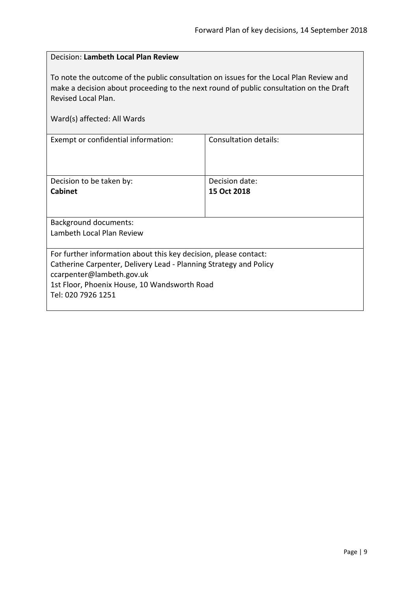# <span id="page-8-0"></span>Decision: **Lambeth Local Plan Review**

To note the outcome of the public consultation on issues for the Local Plan Review and make a decision about proceeding to the next round of public consultation on the Draft Revised Local Plan.

|  | Ward(s) affected: All Wards |  |  |
|--|-----------------------------|--|--|
|--|-----------------------------|--|--|

| Exempt or confidential information:                                                                                                                                                                                                      | Consultation details: |  |
|------------------------------------------------------------------------------------------------------------------------------------------------------------------------------------------------------------------------------------------|-----------------------|--|
| Decision to be taken by:                                                                                                                                                                                                                 | Decision date:        |  |
| <b>Cabinet</b>                                                                                                                                                                                                                           | 15 Oct 2018           |  |
|                                                                                                                                                                                                                                          |                       |  |
| <b>Background documents:</b>                                                                                                                                                                                                             |                       |  |
| Lambeth Local Plan Review                                                                                                                                                                                                                |                       |  |
|                                                                                                                                                                                                                                          |                       |  |
| For further information about this key decision, please contact:<br>Catherine Carpenter, Delivery Lead - Planning Strategy and Policy<br>ccarpenter@lambeth.gov.uk<br>1st Floor, Phoenix House, 10 Wandsworth Road<br>Tel: 020 7926 1251 |                       |  |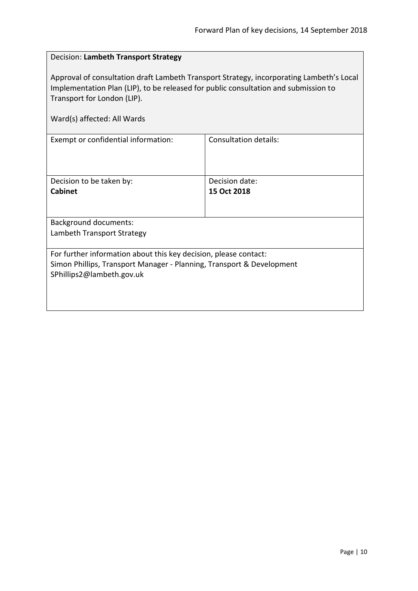# <span id="page-9-0"></span>Decision: **Lambeth Transport Strategy**

Approval of consultation draft Lambeth Transport Strategy, incorporating Lambeth's Local Implementation Plan (LIP), to be released for public consultation and submission to Transport for London (LIP).

|  |  | Ward(s) affected: All Wards |  |
|--|--|-----------------------------|--|
|--|--|-----------------------------|--|

| Exempt or confidential information:                                                                                                                                    | Consultation details: |  |
|------------------------------------------------------------------------------------------------------------------------------------------------------------------------|-----------------------|--|
| Decision to be taken by:                                                                                                                                               | Decision date:        |  |
| <b>Cabinet</b>                                                                                                                                                         | 15 Oct 2018           |  |
| <b>Background documents:</b>                                                                                                                                           |                       |  |
| Lambeth Transport Strategy                                                                                                                                             |                       |  |
| For further information about this key decision, please contact:<br>Simon Phillips, Transport Manager - Planning, Transport & Development<br>SPhillips2@lambeth.gov.uk |                       |  |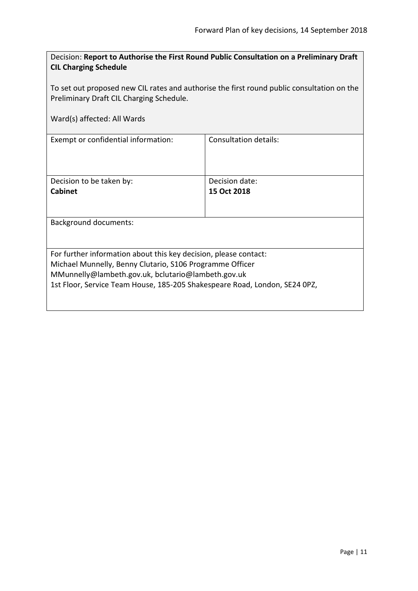<span id="page-10-0"></span>

| Decision: Report to Authorise the First Round Public Consultation on a Preliminary Draft |
|------------------------------------------------------------------------------------------|
| <b>CIL Charging Schedule</b>                                                             |

To set out proposed new CIL rates and authorise the first round public consultation on the Preliminary Draft CIL Charging Schedule.

|  |  | Ward(s) affected: All Wards |
|--|--|-----------------------------|
|--|--|-----------------------------|

 $\overline{\phantom{a}}$ 

| Exempt or confidential information:                                                                                                                                                                                                                              | Consultation details: |  |
|------------------------------------------------------------------------------------------------------------------------------------------------------------------------------------------------------------------------------------------------------------------|-----------------------|--|
| Decision to be taken by:                                                                                                                                                                                                                                         | Decision date:        |  |
| Cabinet                                                                                                                                                                                                                                                          | 15 Oct 2018           |  |
| Background documents:                                                                                                                                                                                                                                            |                       |  |
|                                                                                                                                                                                                                                                                  |                       |  |
| For further information about this key decision, please contact:<br>Michael Munnelly, Benny Clutario, S106 Programme Officer<br>MMunnelly@lambeth.gov.uk, bclutario@lambeth.gov.uk<br>1st Floor, Service Team House, 185-205 Shakespeare Road, London, SE24 0PZ, |                       |  |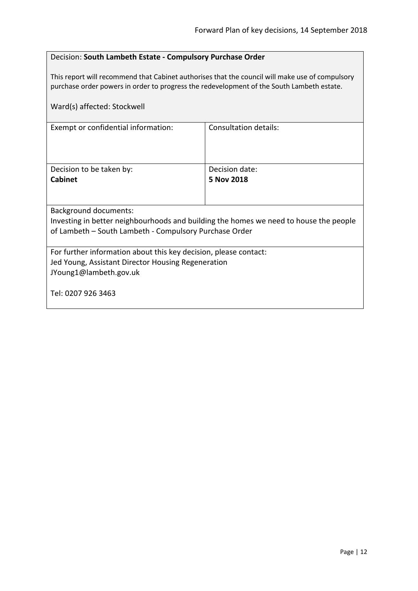# <span id="page-11-0"></span>Decision: **South Lambeth Estate - Compulsory Purchase Order**

This report will recommend that Cabinet authorises that the council will make use of compulsory purchase order powers in order to progress the redevelopment of the South Lambeth estate.

| Ward(s) affected: Stockwell                                                           |                       |  |
|---------------------------------------------------------------------------------------|-----------------------|--|
| Exempt or confidential information:                                                   | Consultation details: |  |
| Decision to be taken by:                                                              | Decision date:        |  |
| <b>Cabinet</b>                                                                        | 5 Nov 2018            |  |
|                                                                                       |                       |  |
| <b>Background documents:</b>                                                          |                       |  |
| Investing in better neighbourhoods and building the homes we need to house the people |                       |  |
| of Lambeth – South Lambeth - Compulsory Purchase Order                                |                       |  |
|                                                                                       |                       |  |
| For further information about this key decision, please contact:                      |                       |  |
| Jed Young, Assistant Director Housing Regeneration                                    |                       |  |
| JYoung1@lambeth.gov.uk                                                                |                       |  |
| Tel: 0207 926 3463                                                                    |                       |  |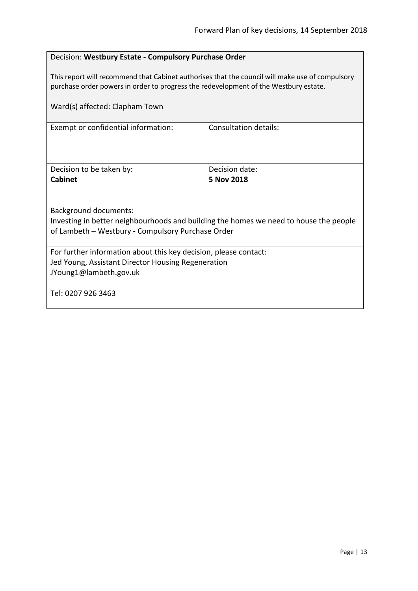# <span id="page-12-0"></span>Decision: **Westbury Estate - Compulsory Purchase Order**

This report will recommend that Cabinet authorises that the council will make use of compulsory purchase order powers in order to progress the redevelopment of the Westbury estate.

| Ward(s) affected: Clapham Town                                                        |                       |  |
|---------------------------------------------------------------------------------------|-----------------------|--|
| Exempt or confidential information:                                                   | Consultation details: |  |
| Decision to be taken by:                                                              | Decision date:        |  |
| <b>Cabinet</b>                                                                        | 5 Nov 2018            |  |
|                                                                                       |                       |  |
| <b>Background documents:</b>                                                          |                       |  |
| Investing in better neighbourhoods and building the homes we need to house the people |                       |  |
| of Lambeth - Westbury - Compulsory Purchase Order                                     |                       |  |
| For further information about this key decision, please contact:                      |                       |  |
| Jed Young, Assistant Director Housing Regeneration                                    |                       |  |
| JYoung1@lambeth.gov.uk                                                                |                       |  |
| Tel: 0207 926 3463                                                                    |                       |  |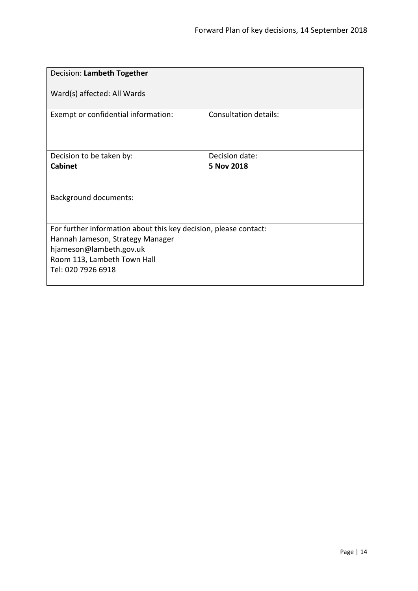<span id="page-13-0"></span>

| Decision: Lambeth Together                                                                                                                                                           |  |
|--------------------------------------------------------------------------------------------------------------------------------------------------------------------------------------|--|
|                                                                                                                                                                                      |  |
| Consultation details:                                                                                                                                                                |  |
| Decision date:                                                                                                                                                                       |  |
| 5 Nov 2018                                                                                                                                                                           |  |
|                                                                                                                                                                                      |  |
|                                                                                                                                                                                      |  |
|                                                                                                                                                                                      |  |
| For further information about this key decision, please contact:<br>Hannah Jameson, Strategy Manager<br>hjameson@lambeth.gov.uk<br>Room 113, Lambeth Town Hall<br>Tel: 020 7926 6918 |  |
|                                                                                                                                                                                      |  |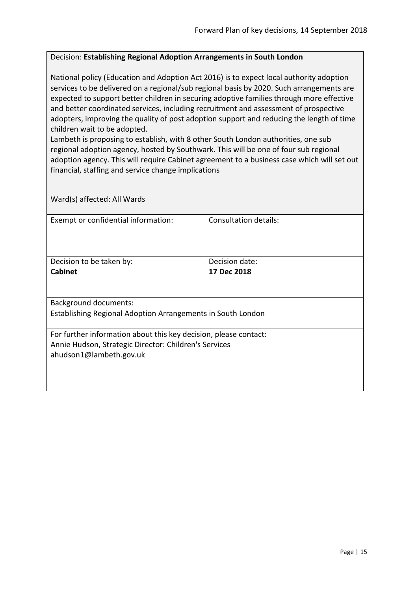#### <span id="page-14-0"></span>Decision: **Establishing Regional Adoption Arrangements in South London**

National policy (Education and Adoption Act 2016) is to expect local authority adoption services to be delivered on a regional/sub regional basis by 2020. Such arrangements are expected to support better children in securing adoptive families through more effective and better coordinated services, including recruitment and assessment of prospective adopters, improving the quality of post adoption support and reducing the length of time children wait to be adopted.

Lambeth is proposing to establish, with 8 other South London authorities, one sub regional adoption agency, hosted by Southwark. This will be one of four sub regional adoption agency. This will require Cabinet agreement to a business case which will set out financial, staffing and service change implications

| Exempt or confidential information:                              | Consultation details: |  |
|------------------------------------------------------------------|-----------------------|--|
| Decision to be taken by:                                         | Decision date:        |  |
| <b>Cabinet</b>                                                   | 17 Dec 2018           |  |
|                                                                  |                       |  |
| <b>Background documents:</b>                                     |                       |  |
| Establishing Regional Adoption Arrangements in South London      |                       |  |
| For further information about this key decision, please contact: |                       |  |
| Annie Hudson, Strategic Director: Children's Services            |                       |  |
| ahudson1@lambeth.gov.uk                                          |                       |  |
|                                                                  |                       |  |
|                                                                  |                       |  |
|                                                                  |                       |  |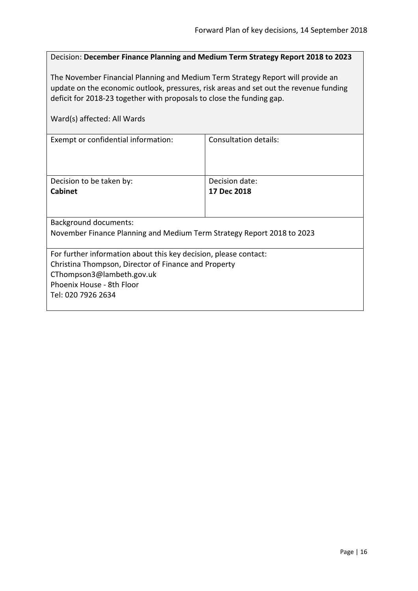<span id="page-15-0"></span>

| Decision: December Finance Planning and Medium Term Strategy Report 2018 to 2023                                                                                                                                                                                                 |                |  |
|----------------------------------------------------------------------------------------------------------------------------------------------------------------------------------------------------------------------------------------------------------------------------------|----------------|--|
| The November Financial Planning and Medium Term Strategy Report will provide an<br>update on the economic outlook, pressures, risk areas and set out the revenue funding<br>deficit for 2018-23 together with proposals to close the funding gap.<br>Ward(s) affected: All Wards |                |  |
| Consultation details:<br>Exempt or confidential information:                                                                                                                                                                                                                     |                |  |
|                                                                                                                                                                                                                                                                                  |                |  |
| Decision to be taken by:                                                                                                                                                                                                                                                         | Decision date: |  |
| <b>Cabinet</b>                                                                                                                                                                                                                                                                   | 17 Dec 2018    |  |
| <b>Background documents:</b>                                                                                                                                                                                                                                                     |                |  |
| November Finance Planning and Medium Term Strategy Report 2018 to 2023                                                                                                                                                                                                           |                |  |
| For further information about this key decision, please contact:                                                                                                                                                                                                                 |                |  |
| Christina Thompson, Director of Finance and Property                                                                                                                                                                                                                             |                |  |
| CThompson3@lambeth.gov.uk<br>Phoenix House - 8th Floor                                                                                                                                                                                                                           |                |  |
| Tel: 020 7926 2634                                                                                                                                                                                                                                                               |                |  |
|                                                                                                                                                                                                                                                                                  |                |  |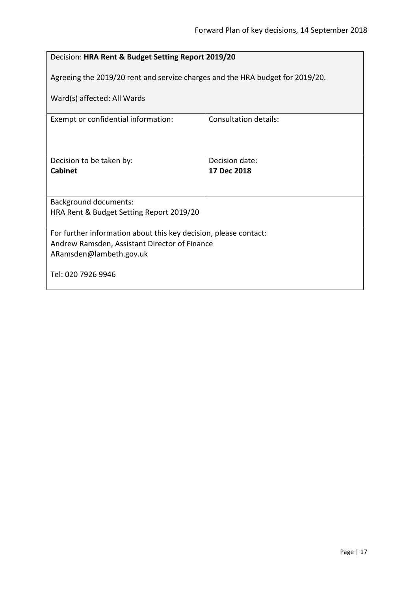<span id="page-16-0"></span>

| Decision: HRA Rent & Budget Setting Report 2019/20                            |             |  |
|-------------------------------------------------------------------------------|-------------|--|
| Agreeing the 2019/20 rent and service charges and the HRA budget for 2019/20. |             |  |
| Ward(s) affected: All Wards                                                   |             |  |
| <b>Consultation details:</b><br>Exempt or confidential information:           |             |  |
|                                                                               |             |  |
| Decision to be taken by:<br>Decision date:                                    |             |  |
| <b>Cabinet</b>                                                                | 17 Dec 2018 |  |
|                                                                               |             |  |
| <b>Background documents:</b>                                                  |             |  |
| HRA Rent & Budget Setting Report 2019/20                                      |             |  |
| For further information about this key decision, please contact:              |             |  |
| Andrew Ramsden, Assistant Director of Finance                                 |             |  |
| ARamsden@lambeth.gov.uk                                                       |             |  |
| Tel: 020 7926 9946                                                            |             |  |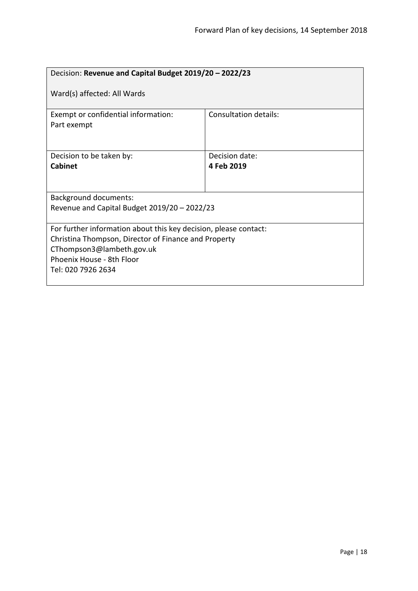<span id="page-17-0"></span>

| Decision: Revenue and Capital Budget 2019/20 - 2022/23                                                                                                                                                   |                              |  |
|----------------------------------------------------------------------------------------------------------------------------------------------------------------------------------------------------------|------------------------------|--|
| Ward(s) affected: All Wards                                                                                                                                                                              |                              |  |
| Exempt or confidential information:<br>Part exempt                                                                                                                                                       | <b>Consultation details:</b> |  |
| Decision to be taken by:<br><b>Cabinet</b>                                                                                                                                                               | Decision date:<br>4 Feb 2019 |  |
| <b>Background documents:</b><br>Revenue and Capital Budget 2019/20 - 2022/23                                                                                                                             |                              |  |
| For further information about this key decision, please contact:<br>Christina Thompson, Director of Finance and Property<br>CThompson3@lambeth.gov.uk<br>Phoenix House - 8th Floor<br>Tel: 020 7926 2634 |                              |  |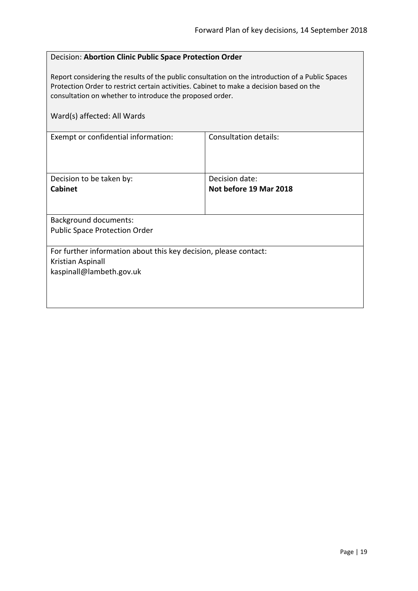# <span id="page-18-0"></span>Decision: **Abortion Clinic Public Space Protection Order**

Report considering the results of the public consultation on the introduction of a Public Spaces Protection Order to restrict certain activities. Cabinet to make a decision based on the consultation on whether to introduce the proposed order.

| Ward(s) affected: All Wards                                                                                       |                                          |
|-------------------------------------------------------------------------------------------------------------------|------------------------------------------|
| Exempt or confidential information:                                                                               | Consultation details:                    |
| Decision to be taken by:<br><b>Cabinet</b>                                                                        | Decision date:<br>Not before 19 Mar 2018 |
| <b>Background documents:</b><br><b>Public Space Protection Order</b>                                              |                                          |
| For further information about this key decision, please contact:<br>Kristian Aspinall<br>kaspinall@lambeth.gov.uk |                                          |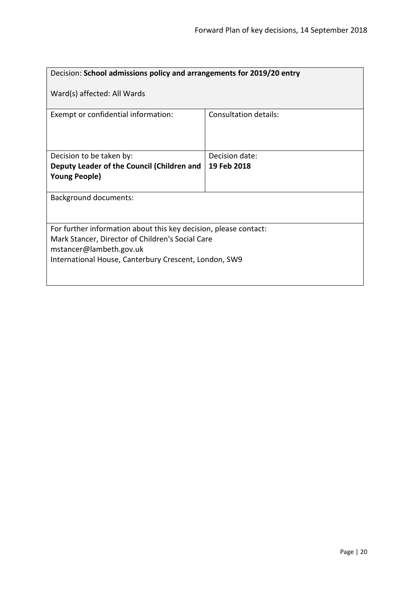<span id="page-19-0"></span>

| Decision: School admissions policy and arrangements for 2019/20 entry                                                                                                                                    |                       |  |
|----------------------------------------------------------------------------------------------------------------------------------------------------------------------------------------------------------|-----------------------|--|
| Ward(s) affected: All Wards                                                                                                                                                                              |                       |  |
| Exempt or confidential information:                                                                                                                                                                      | Consultation details: |  |
| Decision to be taken by:                                                                                                                                                                                 | Decision date:        |  |
| Deputy Leader of the Council (Children and                                                                                                                                                               | 19 Feb 2018           |  |
| <b>Young People)</b>                                                                                                                                                                                     |                       |  |
| <b>Background documents:</b>                                                                                                                                                                             |                       |  |
| For further information about this key decision, please contact:<br>Mark Stancer, Director of Children's Social Care<br>mstancer@lambeth.gov.uk<br>International House, Canterbury Crescent, London, SW9 |                       |  |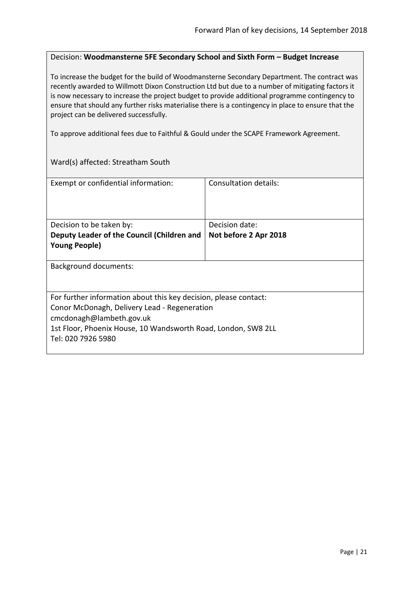#### <span id="page-20-0"></span>Decision: **Woodmansterne 5FE Secondary School and Sixth Form – Budget Increase**

To increase the budget for the build of Woodmansterne Secondary Department. The contract was recently awarded to Willmott Dixon Construction Ltd but due to a number of mitigating factors it is now necessary to increase the project budget to provide additional programme contingency to ensure that should any further risks materialise there is a contingency in place to ensure that the project can be delivered successfully.

To approve additional fees due to Faithful & Gould under the SCAPE Framework Agreement.

Ward(s) affected: Streatham South

| Exempt or confidential information:                                                 | Consultation details: |  |
|-------------------------------------------------------------------------------------|-----------------------|--|
| Decision to be taken by:                                                            | Decision date:        |  |
| Deputy Leader of the Council (Children and                                          | Not before 2 Apr 2018 |  |
| <b>Young People)</b>                                                                |                       |  |
| Background documents:                                                               |                       |  |
| For further information about this key decision, please contact:                    |                       |  |
| Conor McDonagh, Delivery Lead - Regeneration                                        |                       |  |
| cmcdonagh@lambeth.gov.uk                                                            |                       |  |
| 1st Floor, Phoenix House, 10 Wandsworth Road, London, SW8 2LL<br>Tel: 020 7926 5980 |                       |  |
|                                                                                     |                       |  |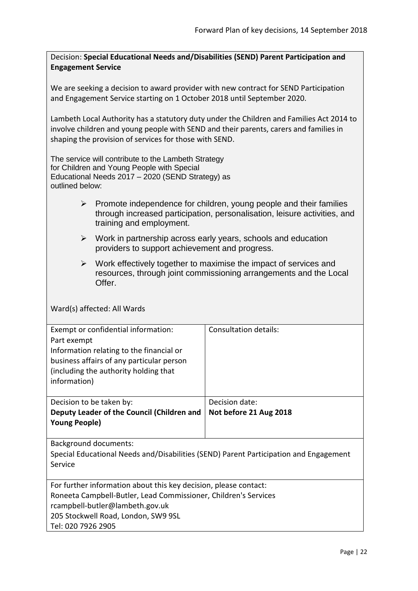<span id="page-21-0"></span>Decision: **Special Educational Needs and/Disabilities (SEND) Parent Participation and Engagement Service**

We are seeking a decision to award provider with new contract for SEND Participation and Engagement Service starting on 1 October 2018 until September 2020.

Lambeth Local Authority has a statutory duty under the Children and Families Act 2014 to involve children and young people with SEND and their parents, carers and families in shaping the provision of services for those with SEND.

The service will contribute to the Lambeth Strategy for Children and Young People with Special Educational Needs 2017 – 2020 (SEND Strategy) as outlined below:

- $\triangleright$  Promote independence for children, young people and their families through increased participation, personalisation, leisure activities, and training and employment.
- $\triangleright$  Work in partnership across early years, schools and education providers to support achievement and progress.
- $\triangleright$  Work effectively together to maximise the impact of services and resources, through joint commissioning arrangements and the Local Offer.

| Exempt or confidential information:                                                   | Consultation details:  |
|---------------------------------------------------------------------------------------|------------------------|
| Part exempt                                                                           |                        |
| Information relating to the financial or                                              |                        |
| business affairs of any particular person                                             |                        |
| (including the authority holding that                                                 |                        |
| information)                                                                          |                        |
|                                                                                       |                        |
| Decision to be taken by:                                                              | Decision date:         |
| Deputy Leader of the Council (Children and                                            | Not before 21 Aug 2018 |
| <b>Young People)</b>                                                                  |                        |
|                                                                                       |                        |
| Background documents:                                                                 |                        |
| Special Educational Needs and/Disabilities (SEND) Parent Participation and Engagement |                        |
| Service                                                                               |                        |
|                                                                                       |                        |
| For further information about this key decision, please contact:                      |                        |
| Roneeta Campbell-Butler, Lead Commissioner, Children's Services                       |                        |
| rcampbell-butler@lambeth.gov.uk                                                       |                        |
| 205 Stockwell Road, London, SW9 9SL                                                   |                        |
| Tel: 020 7926 2905                                                                    |                        |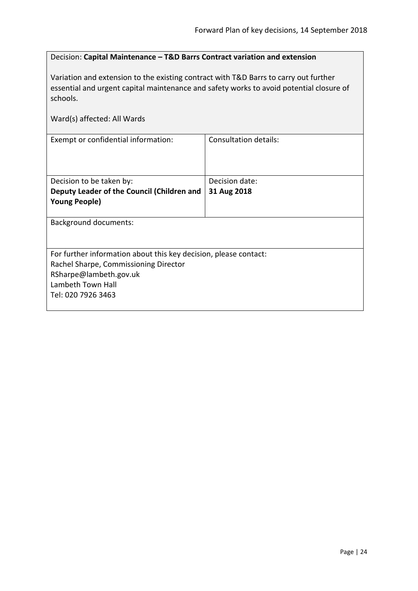# <span id="page-23-0"></span>Decision: **Capital Maintenance – T&D Barrs Contract variation and extension**

Variation and extension to the existing contract with T&D Barrs to carry out further essential and urgent capital maintenance and safety works to avoid potential closure of schools.

| Ward(s) affected: All Wards                                      |                       |  |
|------------------------------------------------------------------|-----------------------|--|
| Exempt or confidential information:                              | Consultation details: |  |
| Decision to be taken by:                                         | Decision date:        |  |
| Deputy Leader of the Council (Children and                       | 31 Aug 2018           |  |
| <b>Young People)</b>                                             |                       |  |
| <b>Background documents:</b>                                     |                       |  |
| For further information about this key decision, please contact: |                       |  |
| Rachel Sharpe, Commissioning Director                            |                       |  |
| RSharpe@lambeth.gov.uk                                           |                       |  |
| Lambeth Town Hall                                                |                       |  |
| Tel: 020 7926 3463                                               |                       |  |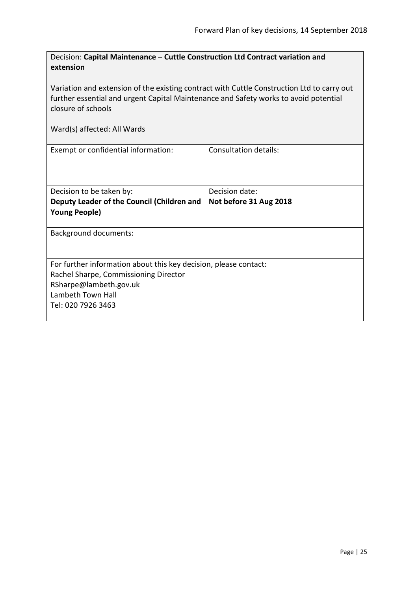<span id="page-24-0"></span>

| Decision: Capital Maintenance – Cuttle Construction Ltd Contract variation and |
|--------------------------------------------------------------------------------|
| extension                                                                      |

Variation and extension of the existing contract with Cuttle Construction Ltd to carry out further essential and urgent Capital Maintenance and Safety works to avoid potential closure of schools

| Exempt or confidential information:                              | Consultation details:  |  |
|------------------------------------------------------------------|------------------------|--|
| Decision to be taken by:                                         | Decision date:         |  |
| Deputy Leader of the Council (Children and                       | Not before 31 Aug 2018 |  |
| <b>Young People)</b>                                             |                        |  |
|                                                                  |                        |  |
| <b>Background documents:</b>                                     |                        |  |
|                                                                  |                        |  |
| For further information about this key decision, please contact: |                        |  |
| Rachel Sharpe, Commissioning Director                            |                        |  |
| RSharpe@lambeth.gov.uk                                           |                        |  |
| Lambeth Town Hall                                                |                        |  |
| Tel: 020 7926 3463                                               |                        |  |
|                                                                  |                        |  |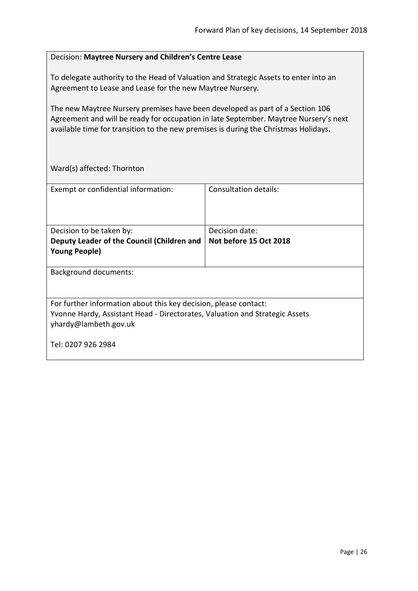| Decision: Maytree Nursery and Children's Centre Lease |  |
|-------------------------------------------------------|--|
|                                                       |  |

<span id="page-25-0"></span>To delegate authority to the Head of Valuation and Strategic Assets to enter into an Agreement to Lease and Lease for the new Maytree Nursery.

The new Maytree Nursery premises have been developed as part of a Section 106 Agreement and will be ready for occupation in late September. Maytree Nursery's next available time for transition to the new premises is during the Christmas Holidays.

Ward(s) affected: Thornton

| Exempt or confidential information:                                                                                                                                      | Consultation details:  |  |
|--------------------------------------------------------------------------------------------------------------------------------------------------------------------------|------------------------|--|
| Decision to be taken by:                                                                                                                                                 | Decision date:         |  |
| Deputy Leader of the Council (Children and                                                                                                                               | Not before 15 Oct 2018 |  |
| <b>Young People)</b>                                                                                                                                                     |                        |  |
|                                                                                                                                                                          |                        |  |
| <b>Background documents:</b>                                                                                                                                             |                        |  |
| For further information about this key decision, please contact:<br>Yvonne Hardy, Assistant Head - Directorates, Valuation and Strategic Assets<br>yhardy@lambeth.gov.uk |                        |  |
| Tel: 0207 926 2984                                                                                                                                                       |                        |  |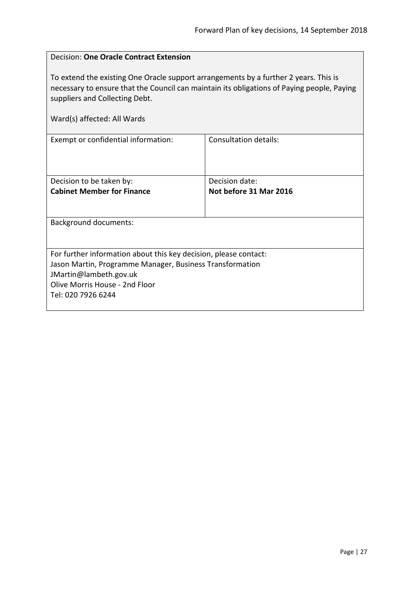<span id="page-26-0"></span>

| Decision: One Oracle Contract Extension                                                                                                                                                                                                             |                              |  |
|-----------------------------------------------------------------------------------------------------------------------------------------------------------------------------------------------------------------------------------------------------|------------------------------|--|
| To extend the existing One Oracle support arrangements by a further 2 years. This is<br>necessary to ensure that the Council can maintain its obligations of Paying people, Paying<br>suppliers and Collecting Debt.<br>Ward(s) affected: All Wards |                              |  |
| Exempt or confidential information:                                                                                                                                                                                                                 | <b>Consultation details:</b> |  |
|                                                                                                                                                                                                                                                     |                              |  |
| Decision to be taken by:                                                                                                                                                                                                                            | Decision date:               |  |
| <b>Cabinet Member for Finance</b>                                                                                                                                                                                                                   | Not before 31 Mar 2016       |  |
| Background documents:                                                                                                                                                                                                                               |                              |  |
|                                                                                                                                                                                                                                                     |                              |  |
| For further information about this key decision, please contact:                                                                                                                                                                                    |                              |  |
| Jason Martin, Programme Manager, Business Transformation                                                                                                                                                                                            |                              |  |
| JMartin@lambeth.gov.uk                                                                                                                                                                                                                              |                              |  |
| Olive Morris House - 2nd Floor                                                                                                                                                                                                                      |                              |  |
| Tel: 020 7926 6244                                                                                                                                                                                                                                  |                              |  |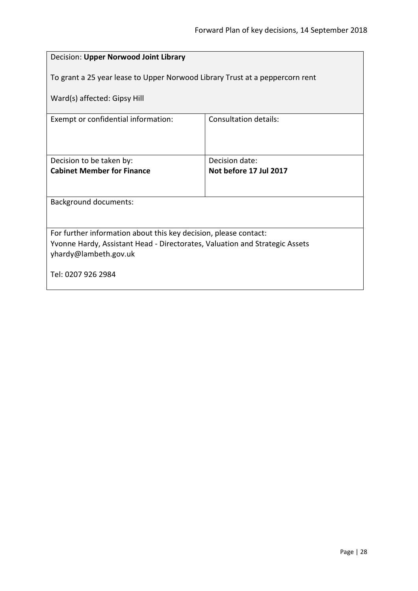<span id="page-27-0"></span>

| Decision: Upper Norwood Joint Library                                                                |                        |  |
|------------------------------------------------------------------------------------------------------|------------------------|--|
| To grant a 25 year lease to Upper Norwood Library Trust at a peppercorn rent                         |                        |  |
| Ward(s) affected: Gipsy Hill                                                                         |                        |  |
| Exempt or confidential information:                                                                  | Consultation details:  |  |
|                                                                                                      |                        |  |
| Decision to be taken by:                                                                             | Decision date:         |  |
| <b>Cabinet Member for Finance</b>                                                                    | Not before 17 Jul 2017 |  |
|                                                                                                      |                        |  |
| <b>Background documents:</b>                                                                         |                        |  |
|                                                                                                      |                        |  |
| For further information about this key decision, please contact:                                     |                        |  |
| Yvonne Hardy, Assistant Head - Directorates, Valuation and Strategic Assets<br>yhardy@lambeth.gov.uk |                        |  |
| Tel: 0207 926 2984                                                                                   |                        |  |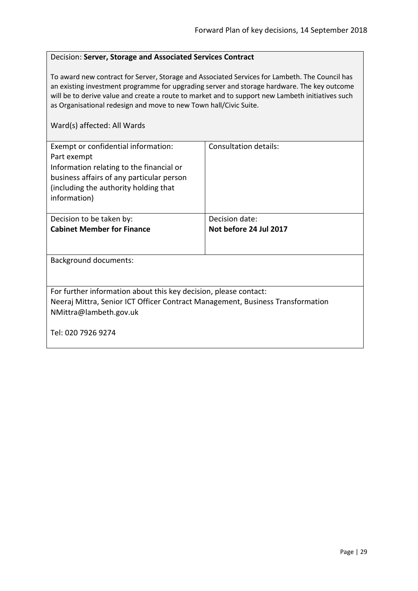#### <span id="page-28-0"></span>Decision: **Server, Storage and Associated Services Contract**

To award new contract for Server, Storage and Associated Services for Lambeth. The Council has an existing investment programme for upgrading server and storage hardware. The key outcome will be to derive value and create a route to market and to support new Lambeth initiatives such as Organisational redesign and move to new Town hall/Civic Suite.

| Exempt or confidential information:<br>Part exempt<br>Information relating to the financial or<br>business affairs of any particular person<br>(including the authority holding that)<br>information) | Consultation details:  |
|-------------------------------------------------------------------------------------------------------------------------------------------------------------------------------------------------------|------------------------|
| Decision to be taken by:                                                                                                                                                                              | Decision date:         |
| <b>Cabinet Member for Finance</b>                                                                                                                                                                     | Not before 24 Jul 2017 |
|                                                                                                                                                                                                       |                        |
| <b>Background documents:</b>                                                                                                                                                                          |                        |
|                                                                                                                                                                                                       |                        |
| For further information about this key decision, please contact:                                                                                                                                      |                        |
| Neeraj Mittra, Senior ICT Officer Contract Management, Business Transformation                                                                                                                        |                        |
| NMittra@lambeth.gov.uk                                                                                                                                                                                |                        |
| Tel: 020 7926 9274                                                                                                                                                                                    |                        |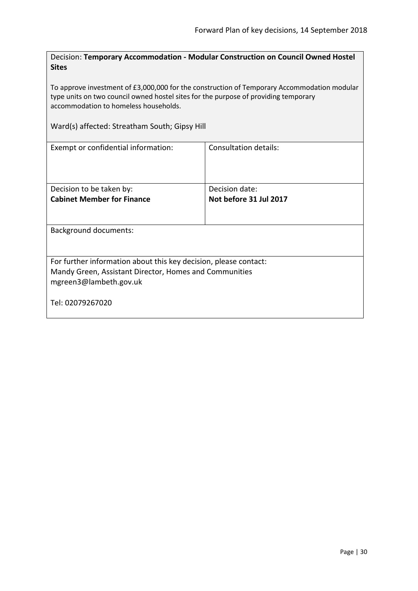<span id="page-29-0"></span>Decision: **Temporary Accommodation - Modular Construction on Council Owned Hostel Sites**

To approve investment of £3,000,000 for the construction of Temporary Accommodation modular type units on two council owned hostel sites for the purpose of providing temporary accommodation to homeless households.

Ward(s) affected: Streatham South; Gipsy Hill

| Exempt or confidential information:                              | Consultation details:  |
|------------------------------------------------------------------|------------------------|
| Decision to be taken by:                                         | Decision date:         |
| <b>Cabinet Member for Finance</b>                                | Not before 31 Jul 2017 |
| <b>Background documents:</b>                                     |                        |
|                                                                  |                        |
| For further information about this key decision, please contact: |                        |
| Mandy Green, Assistant Director, Homes and Communities           |                        |
| mgreen3@lambeth.gov.uk                                           |                        |
| Tel: 02079267020                                                 |                        |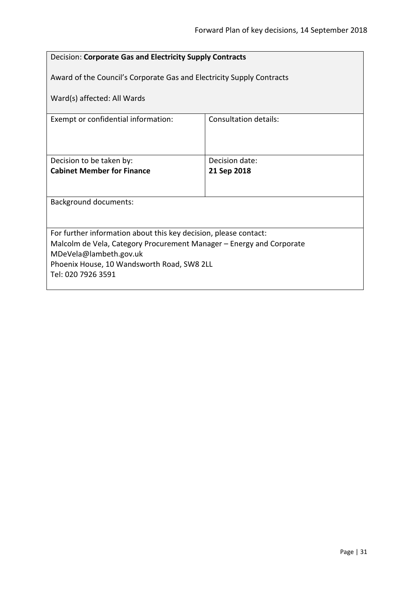<span id="page-30-0"></span>

| Decision: Corporate Gas and Electricity Supply Contracts              |                       |  |
|-----------------------------------------------------------------------|-----------------------|--|
| Award of the Council's Corporate Gas and Electricity Supply Contracts |                       |  |
| Ward(s) affected: All Wards                                           |                       |  |
| Exempt or confidential information:                                   | Consultation details: |  |
|                                                                       |                       |  |
| Decision to be taken by:                                              | Decision date:        |  |
| <b>Cabinet Member for Finance</b>                                     | 21 Sep 2018           |  |
|                                                                       |                       |  |
| <b>Background documents:</b>                                          |                       |  |
|                                                                       |                       |  |
| For further information about this key decision, please contact:      |                       |  |
| Malcolm de Vela, Category Procurement Manager – Energy and Corporate  |                       |  |
| MDeVela@lambeth.gov.uk                                                |                       |  |
| Phoenix House, 10 Wandsworth Road, SW8 2LL                            |                       |  |
| Tel: 020 7926 3591                                                    |                       |  |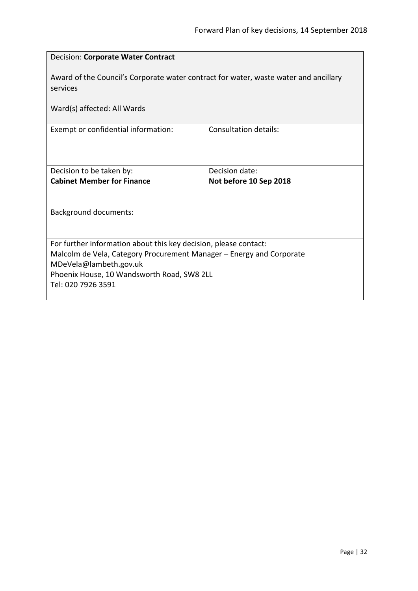<span id="page-31-0"></span>

| Decision: Corporate Water Contract                                                                                                                                                                                                     |                                          |  |
|----------------------------------------------------------------------------------------------------------------------------------------------------------------------------------------------------------------------------------------|------------------------------------------|--|
| Award of the Council's Corporate water contract for water, waste water and ancillary<br>services                                                                                                                                       |                                          |  |
| Ward(s) affected: All Wards                                                                                                                                                                                                            |                                          |  |
| Exempt or confidential information:                                                                                                                                                                                                    | <b>Consultation details:</b>             |  |
| Decision to be taken by:<br><b>Cabinet Member for Finance</b>                                                                                                                                                                          | Decision date:<br>Not before 10 Sep 2018 |  |
| <b>Background documents:</b>                                                                                                                                                                                                           |                                          |  |
| For further information about this key decision, please contact:<br>Malcolm de Vela, Category Procurement Manager – Energy and Corporate<br>MDeVela@lambeth.gov.uk<br>Phoenix House, 10 Wandsworth Road, SW8 2LL<br>Tel: 020 7926 3591 |                                          |  |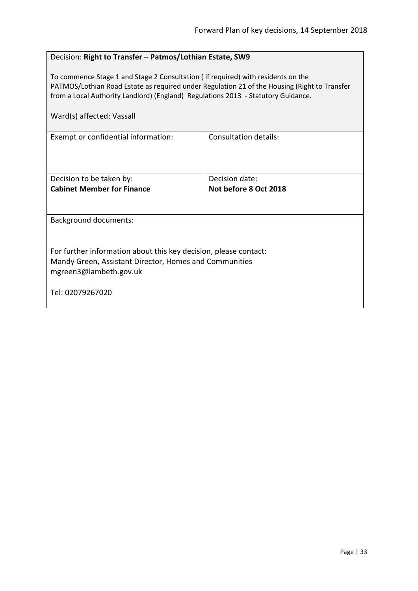# <span id="page-32-0"></span>Decision: **Right to Transfer – Patmos/Lothian Estate, SW9**

To commence Stage 1 and Stage 2 Consultation ( if required) with residents on the PATMOS/Lothian Road Estate as required under Regulation 21 of the Housing (Right to Transfer from a Local Authority Landlord) (England) Regulations 2013 - Statutory Guidance.

| Ward(s) affected: Vassall |  |
|---------------------------|--|
|---------------------------|--|

| Exempt or confidential information:                              | Consultation details: |  |
|------------------------------------------------------------------|-----------------------|--|
|                                                                  |                       |  |
|                                                                  |                       |  |
|                                                                  |                       |  |
|                                                                  |                       |  |
| Decision to be taken by:                                         | Decision date:        |  |
| <b>Cabinet Member for Finance</b>                                | Not before 8 Oct 2018 |  |
|                                                                  |                       |  |
|                                                                  |                       |  |
|                                                                  |                       |  |
| Background documents:                                            |                       |  |
|                                                                  |                       |  |
|                                                                  |                       |  |
| For further information about this key decision, please contact: |                       |  |
| Mandy Green, Assistant Director, Homes and Communities           |                       |  |
| mgreen3@lambeth.gov.uk                                           |                       |  |
|                                                                  |                       |  |
|                                                                  |                       |  |
| Tel: 02079267020                                                 |                       |  |
|                                                                  |                       |  |
|                                                                  |                       |  |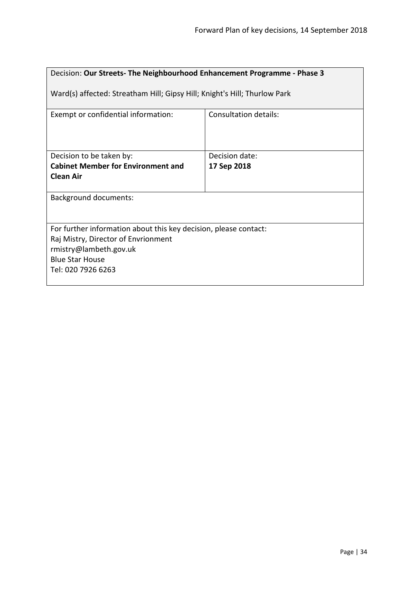<span id="page-33-0"></span>

| Decision: Our Streets-The Neighbourhood Enhancement Programme - Phase 3                                                                                                           |                              |  |
|-----------------------------------------------------------------------------------------------------------------------------------------------------------------------------------|------------------------------|--|
| Ward(s) affected: Streatham Hill; Gipsy Hill; Knight's Hill; Thurlow Park                                                                                                         |                              |  |
| Exempt or confidential information:                                                                                                                                               | <b>Consultation details:</b> |  |
| Decision to be taken by:                                                                                                                                                          | Decision date:               |  |
| <b>Cabinet Member for Environment and</b>                                                                                                                                         | 17 Sep 2018                  |  |
| <b>Clean Air</b>                                                                                                                                                                  |                              |  |
| <b>Background documents:</b>                                                                                                                                                      |                              |  |
| For further information about this key decision, please contact:<br>Raj Mistry, Director of Envrionment<br>rmistry@lambeth.gov.uk<br><b>Blue Star House</b><br>Tel: 020 7926 6263 |                              |  |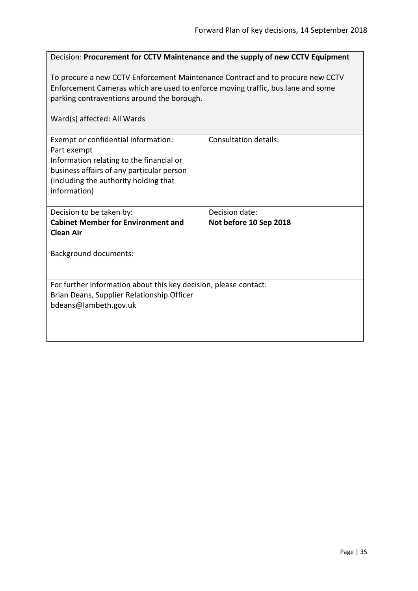<span id="page-34-0"></span>

| Decision: Procurement for CCTV Maintenance and the supply of new CCTV Equipment                                                                                                                                                                |                                          |  |
|------------------------------------------------------------------------------------------------------------------------------------------------------------------------------------------------------------------------------------------------|------------------------------------------|--|
| To procure a new CCTV Enforcement Maintenance Contract and to procure new CCTV<br>Enforcement Cameras which are used to enforce moving traffic, bus lane and some<br>parking contraventions around the borough.<br>Ward(s) affected: All Wards |                                          |  |
| Exempt or confidential information:<br>Part exempt<br>Information relating to the financial or<br>business affairs of any particular person<br>(including the authority holding that<br>information)                                           | <b>Consultation details:</b>             |  |
| Decision to be taken by:<br><b>Cabinet Member for Environment and</b><br><b>Clean Air</b>                                                                                                                                                      | Decision date:<br>Not before 10 Sep 2018 |  |
| <b>Background documents:</b>                                                                                                                                                                                                                   |                                          |  |
| For further information about this key decision, please contact:<br>Brian Deans, Supplier Relationship Officer<br>bdeans@lambeth.gov.uk                                                                                                        |                                          |  |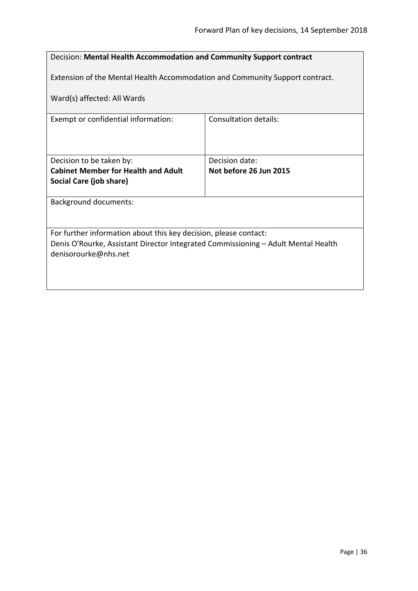<span id="page-35-0"></span>

| Decision: Mental Health Accommodation and Community Support contract                                      |                        |  |
|-----------------------------------------------------------------------------------------------------------|------------------------|--|
| Extension of the Mental Health Accommodation and Community Support contract.                              |                        |  |
| Ward(s) affected: All Wards                                                                               |                        |  |
| Exempt or confidential information:                                                                       | Consultation details:  |  |
|                                                                                                           |                        |  |
|                                                                                                           |                        |  |
| Decision to be taken by:                                                                                  | Decision date:         |  |
| <b>Cabinet Member for Health and Adult</b>                                                                | Not before 26 Jun 2015 |  |
| Social Care (job share)                                                                                   |                        |  |
| <b>Background documents:</b>                                                                              |                        |  |
|                                                                                                           |                        |  |
| For further information about this key decision, please contact:                                          |                        |  |
| Denis O'Rourke, Assistant Director Integrated Commissioning - Adult Mental Health<br>denisorourke@nhs.net |                        |  |
|                                                                                                           |                        |  |
|                                                                                                           |                        |  |
|                                                                                                           |                        |  |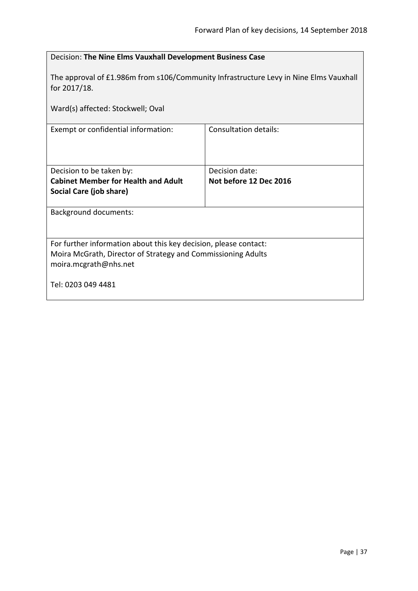<span id="page-36-0"></span>

| Decision: The Nine Elms Vauxhall Development Business Case                                                                                                |                                          |  |
|-----------------------------------------------------------------------------------------------------------------------------------------------------------|------------------------------------------|--|
| The approval of £1.986m from s106/Community Infrastructure Levy in Nine Elms Vauxhall<br>for 2017/18.                                                     |                                          |  |
| Ward(s) affected: Stockwell; Oval                                                                                                                         |                                          |  |
| Exempt or confidential information:                                                                                                                       | <b>Consultation details:</b>             |  |
| Decision to be taken by:<br><b>Cabinet Member for Health and Adult</b><br>Social Care (job share)                                                         | Decision date:<br>Not before 12 Dec 2016 |  |
| <b>Background documents:</b>                                                                                                                              |                                          |  |
| For further information about this key decision, please contact:<br>Moira McGrath, Director of Strategy and Commissioning Adults<br>moira.mcgrath@nhs.net |                                          |  |
| Tel: 0203 049 4481                                                                                                                                        |                                          |  |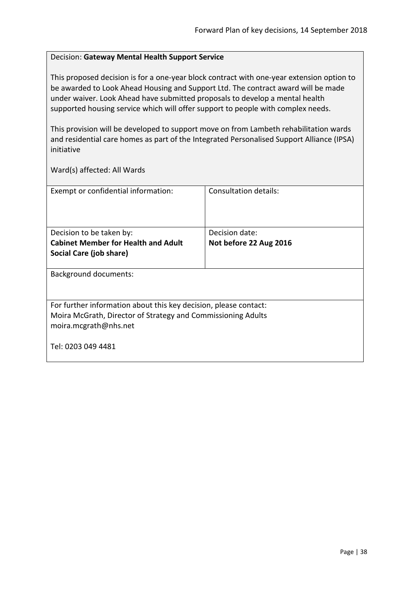### <span id="page-37-0"></span>Decision: **Gateway Mental Health Support Service**

This proposed decision is for a one-year block contract with one-year extension option to be awarded to Look Ahead Housing and Support Ltd. The contract award will be made under waiver. Look Ahead have submitted proposals to develop a mental health supported housing service which will offer support to people with complex needs.

This provision will be developed to support move on from Lambeth rehabilitation wards and residential care homes as part of the Integrated Personalised Support Alliance (IPSA) initiative

| Exempt or confidential information:                                                                                                                       | Consultation details:  |
|-----------------------------------------------------------------------------------------------------------------------------------------------------------|------------------------|
| Decision to be taken by:                                                                                                                                  | Decision date:         |
| <b>Cabinet Member for Health and Adult</b>                                                                                                                | Not before 22 Aug 2016 |
| Social Care (job share)                                                                                                                                   |                        |
| <b>Background documents:</b>                                                                                                                              |                        |
| For further information about this key decision, please contact:<br>Moira McGrath, Director of Strategy and Commissioning Adults<br>moira.mcgrath@nhs.net |                        |
| Tel: 0203 049 4481                                                                                                                                        |                        |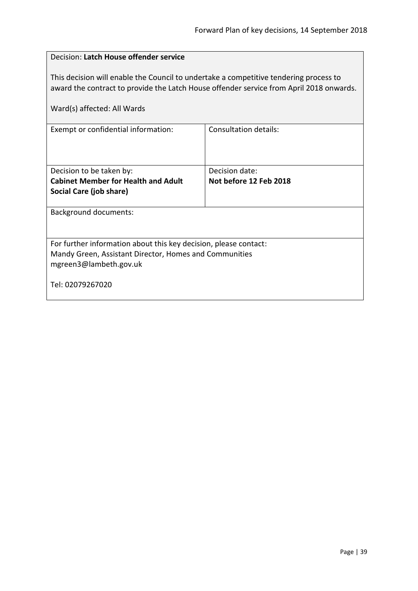<span id="page-38-0"></span>

| Decision: Latch House offender service                                                                                                                                                                          |                        |  |
|-----------------------------------------------------------------------------------------------------------------------------------------------------------------------------------------------------------------|------------------------|--|
| This decision will enable the Council to undertake a competitive tendering process to<br>award the contract to provide the Latch House offender service from April 2018 onwards.<br>Ward(s) affected: All Wards |                        |  |
| Exempt or confidential information:                                                                                                                                                                             | Consultation details:  |  |
|                                                                                                                                                                                                                 |                        |  |
| Decision to be taken by:                                                                                                                                                                                        | Decision date:         |  |
| <b>Cabinet Member for Health and Adult</b>                                                                                                                                                                      | Not before 12 Feb 2018 |  |
| Social Care (job share)                                                                                                                                                                                         |                        |  |
| <b>Background documents:</b>                                                                                                                                                                                    |                        |  |
|                                                                                                                                                                                                                 |                        |  |
| For further information about this key decision, please contact:                                                                                                                                                |                        |  |
| Mandy Green, Assistant Director, Homes and Communities                                                                                                                                                          |                        |  |
| mgreen3@lambeth.gov.uk                                                                                                                                                                                          |                        |  |
| Tel: 02079267020                                                                                                                                                                                                |                        |  |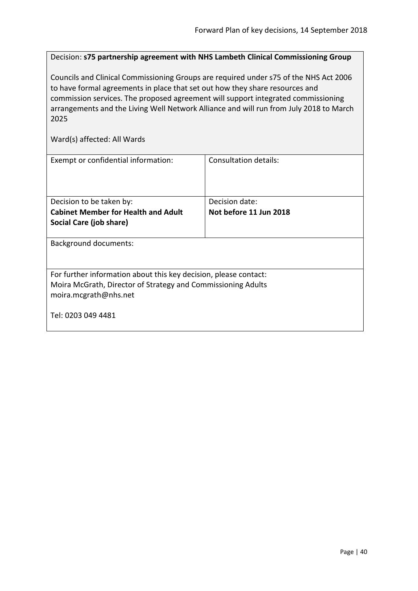<span id="page-39-0"></span>Decision: **s75 partnership agreement with NHS Lambeth Clinical Commissioning Group**

Councils and Clinical Commissioning Groups are required under s75 of the NHS Act 2006 to have formal agreements in place that set out how they share resources and commission services. The proposed agreement will support integrated commissioning arrangements and the Living Well Network Alliance and will run from July 2018 to March 2025

| Exempt or confidential information:                                                                                                                       | Consultation details:  |
|-----------------------------------------------------------------------------------------------------------------------------------------------------------|------------------------|
|                                                                                                                                                           |                        |
| Decision to be taken by:                                                                                                                                  | Decision date:         |
| <b>Cabinet Member for Health and Adult</b>                                                                                                                | Not before 11 Jun 2018 |
| Social Care (job share)                                                                                                                                   |                        |
| <b>Background documents:</b>                                                                                                                              |                        |
| For further information about this key decision, please contact:<br>Moira McGrath, Director of Strategy and Commissioning Adults<br>moira.mcgrath@nhs.net |                        |
| Tel: 0203 049 4481                                                                                                                                        |                        |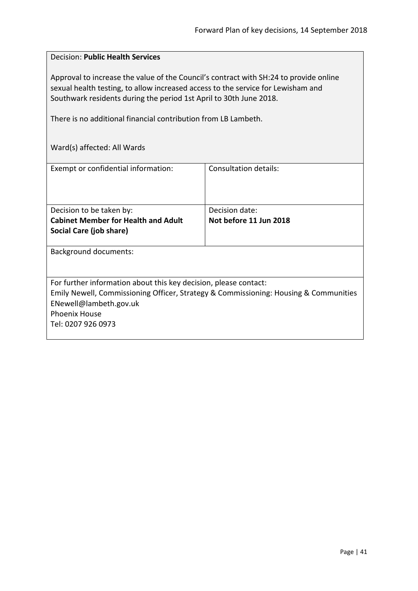# <span id="page-40-0"></span>Decision: **Public Health Services**

Approval to increase the value of the Council's contract with SH:24 to provide online sexual health testing, to allow increased access to the service for Lewisham and Southwark residents during the period 1st April to 30th June 2018.

There is no additional financial contribution from LB Lambeth.

| Exempt or confidential information:                              | Consultation details:                                                                |
|------------------------------------------------------------------|--------------------------------------------------------------------------------------|
|                                                                  |                                                                                      |
|                                                                  |                                                                                      |
|                                                                  |                                                                                      |
|                                                                  |                                                                                      |
| Decision to be taken by:                                         | Decision date:                                                                       |
| <b>Cabinet Member for Health and Adult</b>                       | Not before 11 Jun 2018                                                               |
| Social Care (job share)                                          |                                                                                      |
|                                                                  |                                                                                      |
|                                                                  |                                                                                      |
| <b>Background documents:</b>                                     |                                                                                      |
|                                                                  |                                                                                      |
|                                                                  |                                                                                      |
| For further information about this key decision, please contact: |                                                                                      |
|                                                                  | Emily Newell, Commissioning Officer, Strategy & Commissioning: Housing & Communities |
|                                                                  |                                                                                      |
| ENewell@lambeth.gov.uk                                           |                                                                                      |
| <b>Phoenix House</b>                                             |                                                                                      |
| Tel: 0207 926 0973                                               |                                                                                      |
|                                                                  |                                                                                      |
|                                                                  |                                                                                      |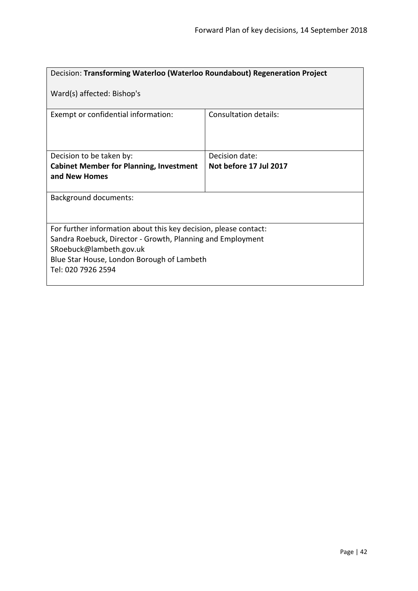<span id="page-41-0"></span>

| Decision: Transforming Waterloo (Waterloo Roundabout) Regeneration Project                                                                                                                                                    |                        |  |
|-------------------------------------------------------------------------------------------------------------------------------------------------------------------------------------------------------------------------------|------------------------|--|
| Ward(s) affected: Bishop's                                                                                                                                                                                                    |                        |  |
| Exempt or confidential information:                                                                                                                                                                                           | Consultation details:  |  |
| Decision to be taken by:                                                                                                                                                                                                      | Decision date:         |  |
| <b>Cabinet Member for Planning, Investment</b><br>and New Homes                                                                                                                                                               | Not before 17 Jul 2017 |  |
| <b>Background documents:</b>                                                                                                                                                                                                  |                        |  |
| For further information about this key decision, please contact:<br>Sandra Roebuck, Director - Growth, Planning and Employment<br>SRoebuck@lambeth.gov.uk<br>Blue Star House, London Borough of Lambeth<br>Tel: 020 7926 2594 |                        |  |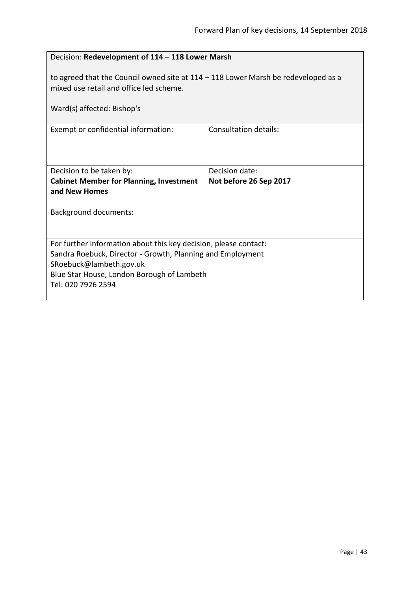<span id="page-42-0"></span>

| Decision: Redevelopment of 114 - 118 Lower Marsh                                                                                                                                                                              |                                          |  |
|-------------------------------------------------------------------------------------------------------------------------------------------------------------------------------------------------------------------------------|------------------------------------------|--|
| to agreed that the Council owned site at $114 - 118$ Lower Marsh be redeveloped as a<br>mixed use retail and office led scheme.<br>Ward(s) affected: Bishop's                                                                 |                                          |  |
| Exempt or confidential information:                                                                                                                                                                                           | Consultation details:                    |  |
| Decision to be taken by:<br><b>Cabinet Member for Planning, Investment</b><br>and New Homes                                                                                                                                   | Decision date:<br>Not before 26 Sep 2017 |  |
| <b>Background documents:</b>                                                                                                                                                                                                  |                                          |  |
| For further information about this key decision, please contact:<br>Sandra Roebuck, Director - Growth, Planning and Employment<br>SRoebuck@lambeth.gov.uk<br>Blue Star House, London Borough of Lambeth<br>Tel: 020 7926 2594 |                                          |  |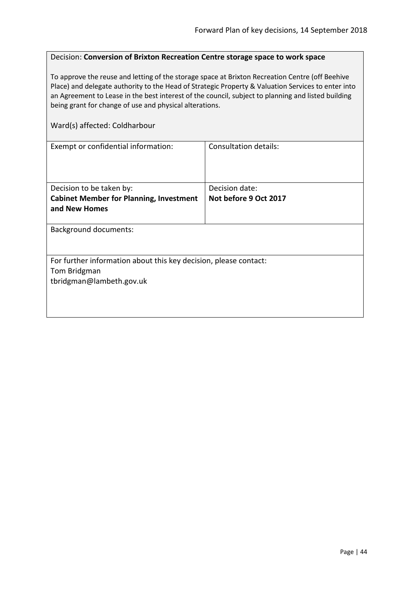#### <span id="page-43-0"></span>Decision: **Conversion of Brixton Recreation Centre storage space to work space**

To approve the reuse and letting of the storage space at Brixton Recreation Centre (off Beehive Place) and delegate authority to the Head of Strategic Property & Valuation Services to enter into an Agreement to Lease in the best interest of the council, subject to planning and listed building being grant for change of use and physical alterations.

#### Ward(s) affected: Coldharbour

| Exempt or confidential information:                              | Consultation details: |
|------------------------------------------------------------------|-----------------------|
|                                                                  |                       |
|                                                                  |                       |
| Decision to be taken by:                                         | Decision date:        |
| <b>Cabinet Member for Planning, Investment</b>                   | Not before 9 Oct 2017 |
| and New Homes                                                    |                       |
|                                                                  |                       |
| <b>Background documents:</b>                                     |                       |
|                                                                  |                       |
|                                                                  |                       |
| For further information about this key decision, please contact: |                       |
| Tom Bridgman                                                     |                       |
| tbridgman@lambeth.gov.uk                                         |                       |
|                                                                  |                       |
|                                                                  |                       |
|                                                                  |                       |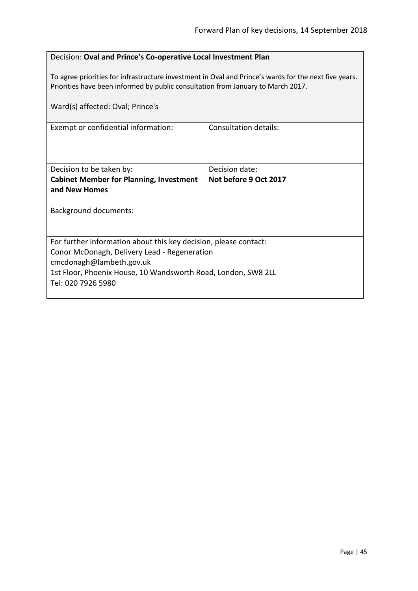# <span id="page-44-0"></span>Decision: **Oval and Prince's Co-operative Local Investment Plan**

To agree priorities for infrastructure investment in Oval and Prince's wards for the next five years. Priorities have been informed by public consultation from January to March 2017.

| Ward(s) affected: Oval; Prince's                                 |                       |  |
|------------------------------------------------------------------|-----------------------|--|
| Exempt or confidential information:                              | Consultation details: |  |
| Decision to be taken by:                                         | Decision date:        |  |
| <b>Cabinet Member for Planning, Investment</b>                   | Not before 9 Oct 2017 |  |
| and New Homes                                                    |                       |  |
|                                                                  |                       |  |
| <b>Background documents:</b>                                     |                       |  |
|                                                                  |                       |  |
| For further information about this key decision, please contact: |                       |  |
| Conor McDonagh, Delivery Lead - Regeneration                     |                       |  |
| cmcdonagh@lambeth.gov.uk                                         |                       |  |
| 1st Floor, Phoenix House, 10 Wandsworth Road, London, SW8 2LL    |                       |  |
| Tel: 020 7926 5980                                               |                       |  |
|                                                                  |                       |  |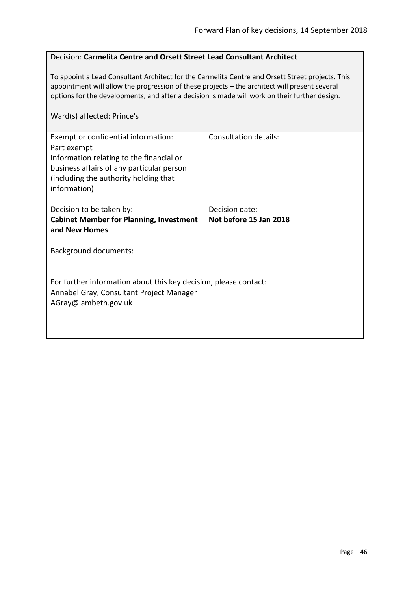#### <span id="page-45-0"></span>Decision: **Carmelita Centre and Orsett Street Lead Consultant Architect**

To appoint a Lead Consultant Architect for the Carmelita Centre and Orsett Street projects. This appointment will allow the progression of these projects – the architect will present several options for the developments, and after a decision is made will work on their further design.

# Ward(s) affected: Prince's

| Exempt or confidential information:<br>Part exempt<br>Information relating to the financial or<br>business affairs of any particular person<br>(including the authority holding that<br>information) | <b>Consultation details:</b> |
|------------------------------------------------------------------------------------------------------------------------------------------------------------------------------------------------------|------------------------------|
| Decision to be taken by:                                                                                                                                                                             | Decision date:               |
| <b>Cabinet Member for Planning, Investment</b><br>and New Homes                                                                                                                                      | Not before 15 Jan 2018       |
| <b>Background documents:</b>                                                                                                                                                                         |                              |
| For further information about this key decision, please contact:<br>Annabel Gray, Consultant Project Manager<br>AGray@lambeth.gov.uk                                                                 |                              |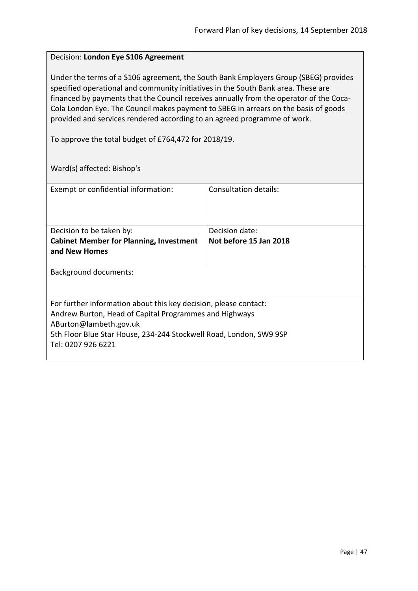#### <span id="page-46-0"></span>Decision: **London Eye S106 Agreement**

Under the terms of a S106 agreement, the South Bank Employers Group (SBEG) provides specified operational and community initiatives in the South Bank area. These are financed by payments that the Council receives annually from the operator of the Coca-Cola London Eye. The Council makes payment to SBEG in arrears on the basis of goods provided and services rendered according to an agreed programme of work.

To approve the total budget of £764,472 for 2018/19.

Ward(s) affected: Bishop's

| Exempt or confidential information:                                | Consultation details:  |  |
|--------------------------------------------------------------------|------------------------|--|
|                                                                    |                        |  |
|                                                                    |                        |  |
| Decision to be taken by:                                           | Decision date:         |  |
| <b>Cabinet Member for Planning, Investment</b>                     | Not before 15 Jan 2018 |  |
| and New Homes                                                      |                        |  |
|                                                                    |                        |  |
| <b>Background documents:</b>                                       |                        |  |
|                                                                    |                        |  |
| For further information about this key decision, please contact:   |                        |  |
| Andrew Burton, Head of Capital Programmes and Highways             |                        |  |
| ABurton@lambeth.gov.uk                                             |                        |  |
| 5th Floor Blue Star House, 234-244 Stockwell Road, London, SW9 9SP |                        |  |
| Tel: 0207 926 6221                                                 |                        |  |
|                                                                    |                        |  |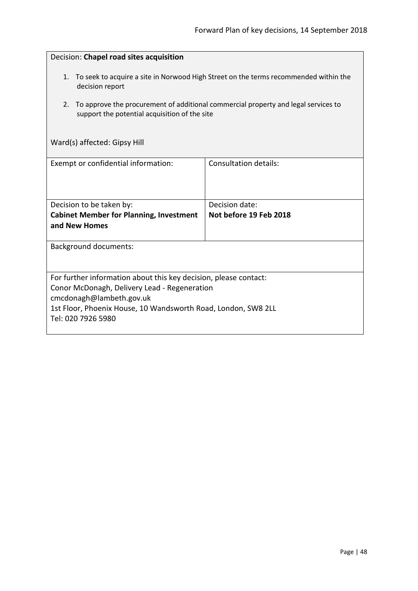<span id="page-47-0"></span>

| Decision: Chapel road sites acquisition                                                                                                                                                                                             |                                          |  |
|-------------------------------------------------------------------------------------------------------------------------------------------------------------------------------------------------------------------------------------|------------------------------------------|--|
| 1. To seek to acquire a site in Norwood High Street on the terms recommended within the<br>decision report                                                                                                                          |                                          |  |
| To approve the procurement of additional commercial property and legal services to<br>2.<br>support the potential acquisition of the site                                                                                           |                                          |  |
| Ward(s) affected: Gipsy Hill                                                                                                                                                                                                        |                                          |  |
| Exempt or confidential information:                                                                                                                                                                                                 | <b>Consultation details:</b>             |  |
| Decision to be taken by:<br><b>Cabinet Member for Planning, Investment</b><br>and New Homes                                                                                                                                         | Decision date:<br>Not before 19 Feb 2018 |  |
| <b>Background documents:</b>                                                                                                                                                                                                        |                                          |  |
| For further information about this key decision, please contact:<br>Conor McDonagh, Delivery Lead - Regeneration<br>cmcdonagh@lambeth.gov.uk<br>1st Floor, Phoenix House, 10 Wandsworth Road, London, SW8 2LL<br>Tel: 020 7926 5980 |                                          |  |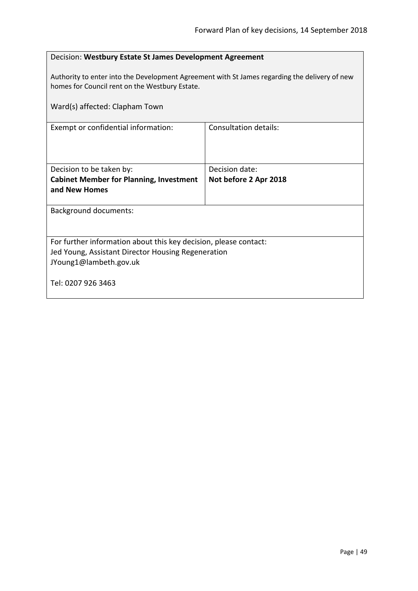<span id="page-48-0"></span>

| Decision: Westbury Estate St James Development Agreement                                                                                        |                       |  |
|-------------------------------------------------------------------------------------------------------------------------------------------------|-----------------------|--|
| Authority to enter into the Development Agreement with St James regarding the delivery of new<br>homes for Council rent on the Westbury Estate. |                       |  |
| Ward(s) affected: Clapham Town                                                                                                                  |                       |  |
| Exempt or confidential information:                                                                                                             | Consultation details: |  |
|                                                                                                                                                 |                       |  |
| Decision to be taken by:                                                                                                                        | Decision date:        |  |
| <b>Cabinet Member for Planning, Investment</b><br>and New Homes                                                                                 | Not before 2 Apr 2018 |  |
|                                                                                                                                                 |                       |  |
| <b>Background documents:</b>                                                                                                                    |                       |  |
|                                                                                                                                                 |                       |  |
| For further information about this key decision, please contact:                                                                                |                       |  |
| Jed Young, Assistant Director Housing Regeneration                                                                                              |                       |  |
| JYoung1@lambeth.gov.uk                                                                                                                          |                       |  |
| Tel: 0207 926 3463                                                                                                                              |                       |  |
|                                                                                                                                                 |                       |  |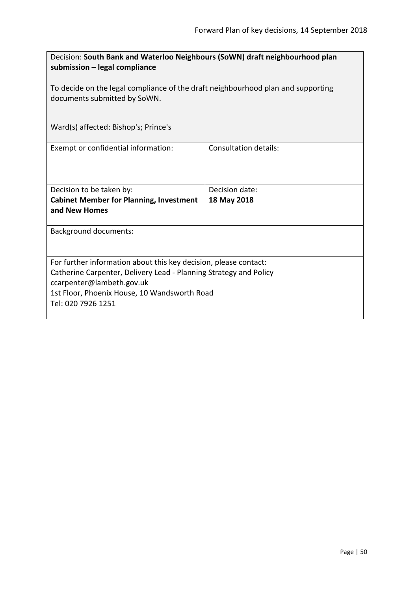<span id="page-49-0"></span>

| Decision: South Bank and Waterloo Neighbours (SoWN) draft neighbourhood plan<br>submission – legal compliance                                                                                                                            |                               |  |
|------------------------------------------------------------------------------------------------------------------------------------------------------------------------------------------------------------------------------------------|-------------------------------|--|
| To decide on the legal compliance of the draft neighbourhood plan and supporting<br>documents submitted by SoWN.                                                                                                                         |                               |  |
| Ward(s) affected: Bishop's; Prince's                                                                                                                                                                                                     |                               |  |
| Exempt or confidential information:                                                                                                                                                                                                      | <b>Consultation details:</b>  |  |
| Decision to be taken by:<br><b>Cabinet Member for Planning, Investment</b><br>and New Homes                                                                                                                                              | Decision date:<br>18 May 2018 |  |
| <b>Background documents:</b>                                                                                                                                                                                                             |                               |  |
| For further information about this key decision, please contact:<br>Catherine Carpenter, Delivery Lead - Planning Strategy and Policy<br>ccarpenter@lambeth.gov.uk<br>1st Floor, Phoenix House, 10 Wandsworth Road<br>Tel: 020 7926 1251 |                               |  |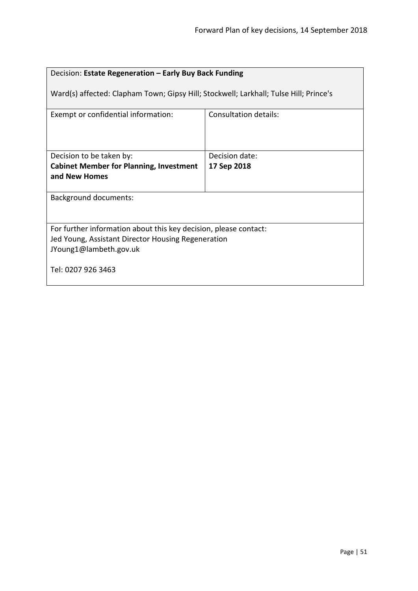<span id="page-50-0"></span>

| Decision: Estate Regeneration - Early Buy Back Funding                                                                                           |                       |  |
|--------------------------------------------------------------------------------------------------------------------------------------------------|-----------------------|--|
| Ward(s) affected: Clapham Town; Gipsy Hill; Stockwell; Larkhall; Tulse Hill; Prince's                                                            |                       |  |
| Exempt or confidential information:                                                                                                              | Consultation details: |  |
| Decision to be taken by:                                                                                                                         | Decision date:        |  |
| <b>Cabinet Member for Planning, Investment</b>                                                                                                   | 17 Sep 2018           |  |
| and New Homes                                                                                                                                    |                       |  |
| <b>Background documents:</b>                                                                                                                     |                       |  |
| For further information about this key decision, please contact:<br>Jed Young, Assistant Director Housing Regeneration<br>JYoung1@lambeth.gov.uk |                       |  |
| Tel: 0207 926 3463                                                                                                                               |                       |  |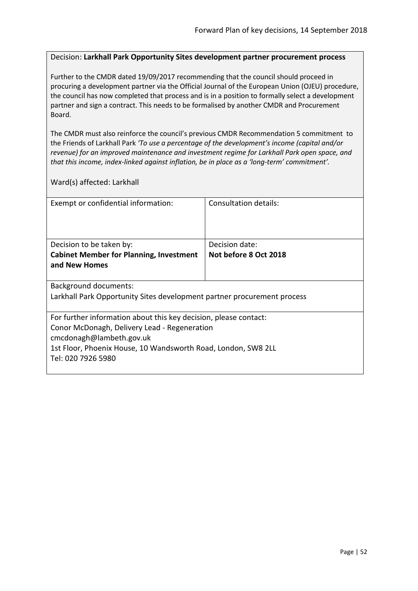#### <span id="page-51-0"></span>Decision: **Larkhall Park Opportunity Sites development partner procurement process**

Further to the CMDR dated 19/09/2017 recommending that the council should proceed in procuring a development partner via the Official Journal of the European Union (OJEU) procedure, the council has now completed that process and is in a position to formally select a development partner and sign a contract. This needs to be formalised by another CMDR and Procurement Board.

The CMDR must also reinforce the council's previous CMDR Recommendation 5 commitment to the Friends of Larkhall Park *'To use a percentage of the development's income (capital and/or revenue) for an improved maintenance and investment regime for Larkhall Park open space, and that this income, index-linked against inflation, be in place as a 'long-term' commitment'.*

Ward(s) affected: Larkhall

| Exempt or confidential information:                                     | Consultation details: |  |
|-------------------------------------------------------------------------|-----------------------|--|
|                                                                         |                       |  |
|                                                                         |                       |  |
|                                                                         |                       |  |
| Decision to be taken by:                                                | Decision date:        |  |
| <b>Cabinet Member for Planning, Investment</b>                          | Not before 8 Oct 2018 |  |
| and New Homes                                                           |                       |  |
|                                                                         |                       |  |
| <b>Background documents:</b>                                            |                       |  |
| Larkhall Park Opportunity Sites development partner procurement process |                       |  |
|                                                                         |                       |  |
| For further information about this key decision, please contact:        |                       |  |
| Conor McDonagh, Delivery Lead - Regeneration                            |                       |  |
| cmcdonagh@lambeth.gov.uk                                                |                       |  |
| 1st Floor, Phoenix House, 10 Wandsworth Road, London, SW8 2LL           |                       |  |
| Tel: 020 7926 5980                                                      |                       |  |
|                                                                         |                       |  |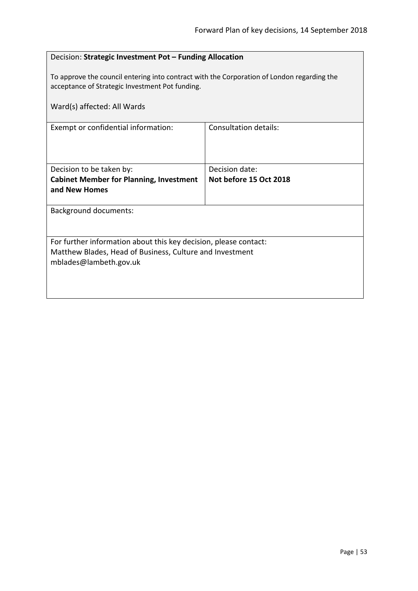<span id="page-52-0"></span>

| Decision: Strategic Investment Pot - Funding Allocation                                                                                       |                              |  |
|-----------------------------------------------------------------------------------------------------------------------------------------------|------------------------------|--|
| To approve the council entering into contract with the Corporation of London regarding the<br>acceptance of Strategic Investment Pot funding. |                              |  |
| Ward(s) affected: All Wards                                                                                                                   |                              |  |
| Exempt or confidential information:                                                                                                           | <b>Consultation details:</b> |  |
|                                                                                                                                               |                              |  |
| Decision to be taken by:                                                                                                                      | Decision date:               |  |
| <b>Cabinet Member for Planning, Investment</b>                                                                                                | Not before 15 Oct 2018       |  |
| and New Homes                                                                                                                                 |                              |  |
| <b>Background documents:</b>                                                                                                                  |                              |  |
|                                                                                                                                               |                              |  |
| For further information about this key decision, please contact:                                                                              |                              |  |
| Matthew Blades, Head of Business, Culture and Investment                                                                                      |                              |  |
| mblades@lambeth.gov.uk                                                                                                                        |                              |  |
|                                                                                                                                               |                              |  |
|                                                                                                                                               |                              |  |
|                                                                                                                                               |                              |  |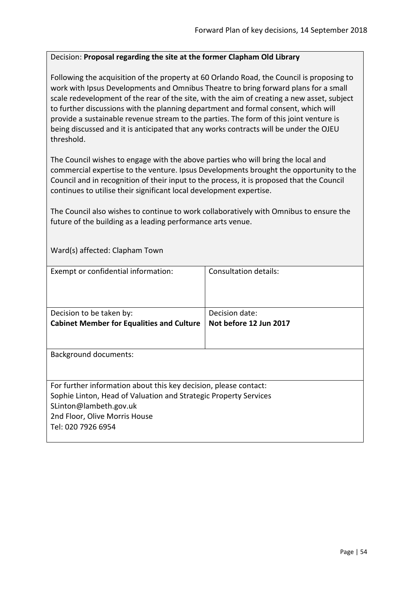#### <span id="page-53-0"></span>Decision: **Proposal regarding the site at the former Clapham Old Library**

Following the acquisition of the property at 60 Orlando Road, the Council is proposing to work with Ipsus Developments and Omnibus Theatre to bring forward plans for a small scale redevelopment of the rear of the site, with the aim of creating a new asset, subject to further discussions with the planning department and formal consent, which will provide a sustainable revenue stream to the parties. The form of this joint venture is being discussed and it is anticipated that any works contracts will be under the OJEU threshold.

The Council wishes to engage with the above parties who will bring the local and commercial expertise to the venture. Ipsus Developments brought the opportunity to the Council and in recognition of their input to the process, it is proposed that the Council continues to utilise their significant local development expertise.

The Council also wishes to continue to work collaboratively with Omnibus to ensure the future of the building as a leading performance arts venue.

Ward(s) affected: Clapham Town

| Exempt or confidential information:                              | Consultation details:  |
|------------------------------------------------------------------|------------------------|
|                                                                  |                        |
|                                                                  |                        |
|                                                                  |                        |
|                                                                  |                        |
| Decision to be taken by:                                         | Decision date:         |
| <b>Cabinet Member for Equalities and Culture</b>                 | Not before 12 Jun 2017 |
|                                                                  |                        |
|                                                                  |                        |
| <b>Background documents:</b>                                     |                        |
|                                                                  |                        |
|                                                                  |                        |
|                                                                  |                        |
| For further information about this key decision, please contact: |                        |
| Sophie Linton, Head of Valuation and Strategic Property Services |                        |
| SLinton@lambeth.gov.uk                                           |                        |
|                                                                  |                        |
| 2nd Floor, Olive Morris House                                    |                        |
| Tel: 020 7926 6954                                               |                        |
|                                                                  |                        |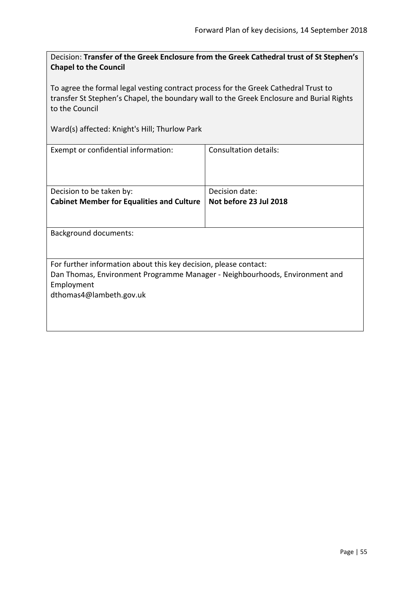<span id="page-54-0"></span>Decision: **Transfer of the Greek Enclosure from the Greek Cathedral trust of St Stephen's Chapel to the Council**

To agree the formal legal vesting contract process for the Greek Cathedral Trust to transfer St Stephen's Chapel, the boundary wall to the Greek Enclosure and Burial Rights to the Council

Ward(s) affected: Knight's Hill; Thurlow Park

| Exempt or confidential information:                                         | Consultation details:  |  |
|-----------------------------------------------------------------------------|------------------------|--|
| Decision to be taken by:                                                    | Decision date:         |  |
| <b>Cabinet Member for Equalities and Culture</b>                            | Not before 23 Jul 2018 |  |
|                                                                             |                        |  |
| <b>Background documents:</b>                                                |                        |  |
| For further information about this key decision, please contact:            |                        |  |
| Dan Thomas, Environment Programme Manager - Neighbourhoods, Environment and |                        |  |
| Employment                                                                  |                        |  |
| dthomas4@lambeth.gov.uk                                                     |                        |  |
|                                                                             |                        |  |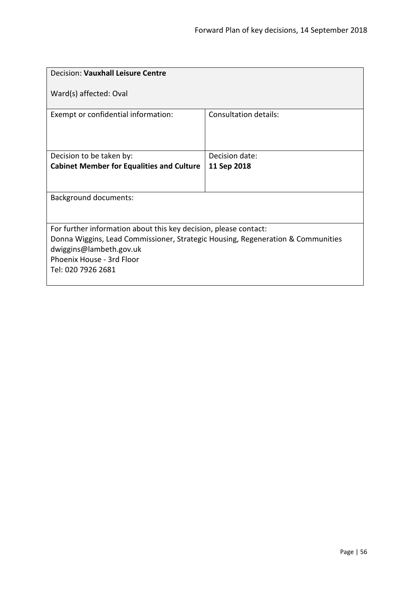<span id="page-55-0"></span>

| Decision: Vauxhall Leisure Centre                                               |                       |  |
|---------------------------------------------------------------------------------|-----------------------|--|
| Ward(s) affected: Oval                                                          |                       |  |
| Exempt or confidential information:                                             | Consultation details: |  |
| Decision to be taken by:                                                        | Decision date:        |  |
| <b>Cabinet Member for Equalities and Culture</b>                                | 11 Sep 2018           |  |
|                                                                                 |                       |  |
| <b>Background documents:</b>                                                    |                       |  |
|                                                                                 |                       |  |
| For further information about this key decision, please contact:                |                       |  |
| Donna Wiggins, Lead Commissioner, Strategic Housing, Regeneration & Communities |                       |  |
| dwiggins@lambeth.gov.uk                                                         |                       |  |
| Phoenix House - 3rd Floor                                                       |                       |  |
| Tel: 020 7926 2681                                                              |                       |  |
|                                                                                 |                       |  |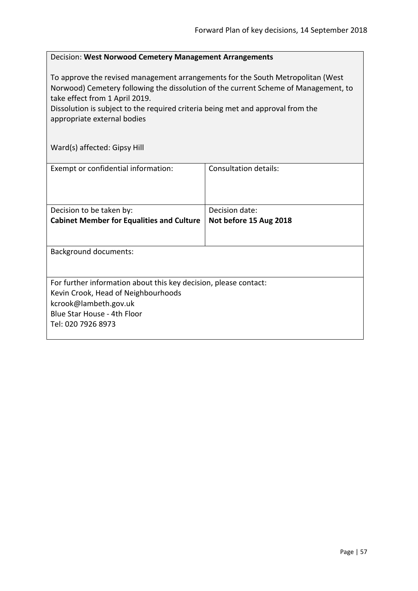#### <span id="page-56-0"></span>Decision: **West Norwood Cemetery Management Arrangements**

To approve the revised management arrangements for the South Metropolitan (West Norwood) Cemetery following the dissolution of the current Scheme of Management, to take effect from 1 April 2019.

Dissolution is subject to the required criteria being met and approval from the appropriate external bodies

Ward(s) affected: Gipsy Hill

| Exempt or confidential information:                                                                                                                                                   | Consultation details:                    |
|---------------------------------------------------------------------------------------------------------------------------------------------------------------------------------------|------------------------------------------|
| Decision to be taken by:<br><b>Cabinet Member for Equalities and Culture</b>                                                                                                          | Decision date:<br>Not before 15 Aug 2018 |
| <b>Background documents:</b>                                                                                                                                                          |                                          |
| For further information about this key decision, please contact:<br>Kevin Crook, Head of Neighbourhoods<br>kcrook@lambeth.gov.uk<br>Blue Star House - 4th Floor<br>Tel: 020 7926 8973 |                                          |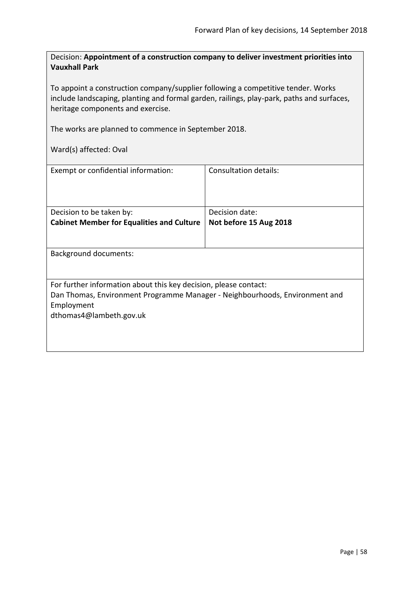<span id="page-57-0"></span>Decision: **Appointment of a construction company to deliver investment priorities into Vauxhall Park**

To appoint a construction company/supplier following a competitive tender. Works include landscaping, planting and formal garden, railings, play-park, paths and surfaces, heritage components and exercise.

The works are planned to commence in September 2018.

Ward(s) affected: Oval

| Exempt or confidential information:                                                       | Consultation details:                    |
|-------------------------------------------------------------------------------------------|------------------------------------------|
| Decision to be taken by:<br><b>Cabinet Member for Equalities and Culture</b>              | Decision date:<br>Not before 15 Aug 2018 |
|                                                                                           |                                          |
| <b>Background documents:</b>                                                              |                                          |
| For further information about this key decision, please contact:                          |                                          |
| Dan Thomas, Environment Programme Manager - Neighbourhoods, Environment and<br>Employment |                                          |
| dthomas4@lambeth.gov.uk                                                                   |                                          |
|                                                                                           |                                          |
|                                                                                           |                                          |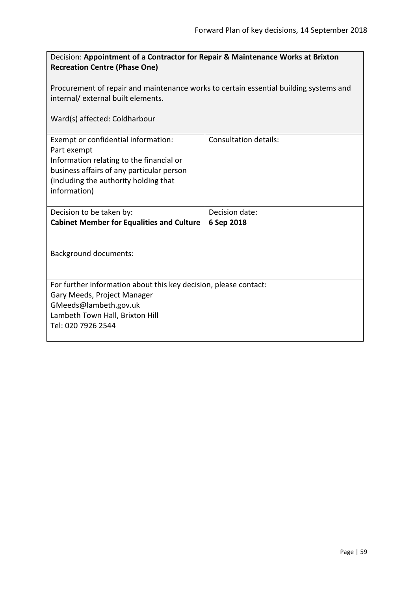<span id="page-58-0"></span>

| Decision: Appointment of a Contractor for Repair & Maintenance Works at Brixton<br><b>Recreation Centre (Phase One)</b>                                                                              |                              |  |
|------------------------------------------------------------------------------------------------------------------------------------------------------------------------------------------------------|------------------------------|--|
| Procurement of repair and maintenance works to certain essential building systems and<br>internal/external built elements.                                                                           |                              |  |
| Ward(s) affected: Coldharbour                                                                                                                                                                        |                              |  |
| Exempt or confidential information:<br>Part exempt<br>Information relating to the financial or<br>business affairs of any particular person<br>(including the authority holding that<br>information) | <b>Consultation details:</b> |  |
| Decision to be taken by:<br><b>Cabinet Member for Equalities and Culture</b>                                                                                                                         | Decision date:<br>6 Sep 2018 |  |
| <b>Background documents:</b>                                                                                                                                                                         |                              |  |
| For further information about this key decision, please contact:<br>Gary Meeds, Project Manager<br>GMeeds@lambeth.gov.uk<br>Lambeth Town Hall, Brixton Hill<br>Tel: 020 7926 2544                    |                              |  |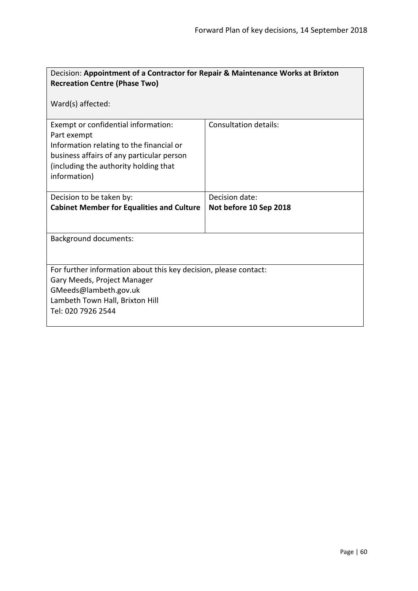<span id="page-59-0"></span>

| Decision: Appointment of a Contractor for Repair & Maintenance Works at Brixton |                        |  |
|---------------------------------------------------------------------------------|------------------------|--|
| <b>Recreation Centre (Phase Two)</b>                                            |                        |  |
| Ward(s) affected:                                                               |                        |  |
| Exempt or confidential information:                                             | Consultation details:  |  |
| Part exempt                                                                     |                        |  |
| Information relating to the financial or                                        |                        |  |
| business affairs of any particular person                                       |                        |  |
| (including the authority holding that                                           |                        |  |
| information)                                                                    |                        |  |
|                                                                                 | Decision date:         |  |
| Decision to be taken by:                                                        |                        |  |
| <b>Cabinet Member for Equalities and Culture</b>                                | Not before 10 Sep 2018 |  |
|                                                                                 |                        |  |
| <b>Background documents:</b>                                                    |                        |  |
|                                                                                 |                        |  |
|                                                                                 |                        |  |
| For further information about this key decision, please contact:                |                        |  |
| Gary Meeds, Project Manager                                                     |                        |  |
| GMeeds@lambeth.gov.uk                                                           |                        |  |
| Lambeth Town Hall, Brixton Hill                                                 |                        |  |
| Tel: 020 7926 2544                                                              |                        |  |
|                                                                                 |                        |  |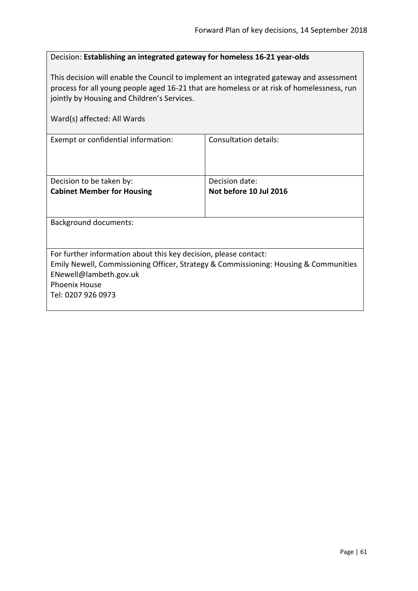<span id="page-60-0"></span>

| Decision: Establishing an integrated gateway for homeless 16-21 year-olds |  |
|---------------------------------------------------------------------------|--|
|                                                                           |  |

This decision will enable the Council to implement an integrated gateway and assessment process for all young people aged 16-21 that are homeless or at risk of homelessness, run jointly by Housing and Children's Services.

| Ward(s) affected: All Wards                                                                                                                                                        |                        |  |
|------------------------------------------------------------------------------------------------------------------------------------------------------------------------------------|------------------------|--|
| Exempt or confidential information:                                                                                                                                                | Consultation details:  |  |
| Decision to be taken by:                                                                                                                                                           | Decision date:         |  |
| <b>Cabinet Member for Housing</b>                                                                                                                                                  | Not before 10 Jul 2016 |  |
| <b>Background documents:</b>                                                                                                                                                       |                        |  |
| For further information about this key decision, please contact:<br>Emily Newell, Commissioning Officer, Strategy & Commissioning: Housing & Communities<br>ENewell@lambeth.gov.uk |                        |  |
| <b>Phoenix House</b><br>Tel: 0207 926 0973                                                                                                                                         |                        |  |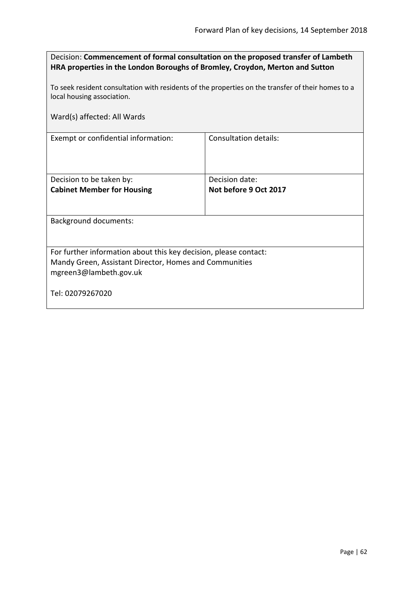<span id="page-61-0"></span>

| Decision: Commencement of formal consultation on the proposed transfer of Lambeth |
|-----------------------------------------------------------------------------------|
| HRA properties in the London Boroughs of Bromley, Croydon, Merton and Sutton      |

To seek resident consultation with residents of the properties on the transfer of their homes to a local housing association.

| Ward(s) affected: All Wards                                      |                              |
|------------------------------------------------------------------|------------------------------|
| Exempt or confidential information:                              | <b>Consultation details:</b> |
|                                                                  |                              |
| Decision to be taken by:                                         | Decision date:               |
| <b>Cabinet Member for Housing</b>                                | Not before 9 Oct 2017        |
| <b>Background documents:</b>                                     |                              |
|                                                                  |                              |
| For further information about this key decision, please contact: |                              |
| Mandy Green, Assistant Director, Homes and Communities           |                              |
| mgreen3@lambeth.gov.uk                                           |                              |
| Tel: 02079267020                                                 |                              |
|                                                                  |                              |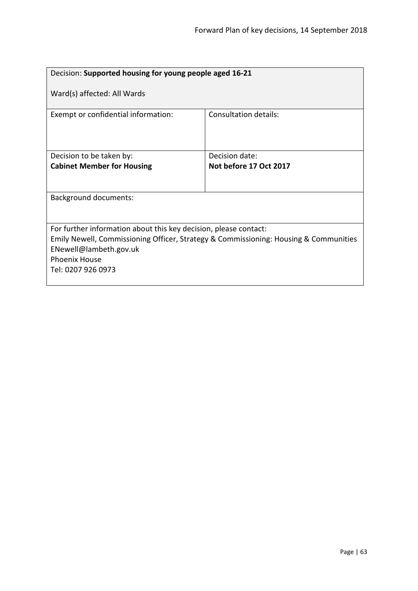<span id="page-62-0"></span>

| Decision: Supported housing for young people aged 16-21                                                                                                                            |                        |  |
|------------------------------------------------------------------------------------------------------------------------------------------------------------------------------------|------------------------|--|
| Ward(s) affected: All Wards                                                                                                                                                        |                        |  |
| Exempt or confidential information:                                                                                                                                                | Consultation details:  |  |
| Decision to be taken by:                                                                                                                                                           | Decision date:         |  |
| <b>Cabinet Member for Housing</b>                                                                                                                                                  | Not before 17 Oct 2017 |  |
|                                                                                                                                                                                    |                        |  |
| <b>Background documents:</b>                                                                                                                                                       |                        |  |
|                                                                                                                                                                                    |                        |  |
| For further information about this key decision, please contact:<br>Emily Newell, Commissioning Officer, Strategy & Commissioning: Housing & Communities<br>ENewell@lambeth.gov.uk |                        |  |
| <b>Phoenix House</b>                                                                                                                                                               |                        |  |
| Tel: 0207 926 0973                                                                                                                                                                 |                        |  |
|                                                                                                                                                                                    |                        |  |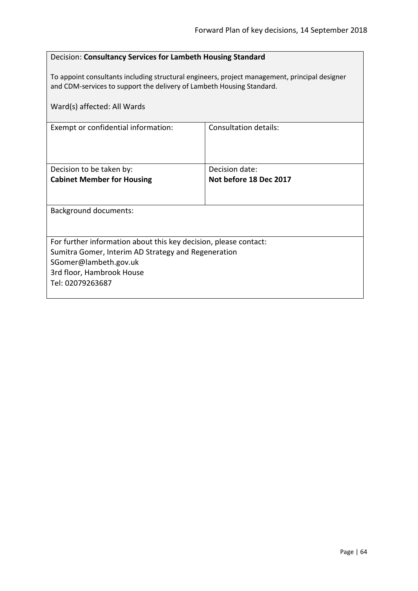<span id="page-63-0"></span>

| Decision: Consultancy Services for Lambeth Housing Standard                                                                                                            |                                          |
|------------------------------------------------------------------------------------------------------------------------------------------------------------------------|------------------------------------------|
| To appoint consultants including structural engineers, project management, principal designer<br>and CDM-services to support the delivery of Lambeth Housing Standard. |                                          |
| Ward(s) affected: All Wards                                                                                                                                            |                                          |
| Exempt or confidential information:                                                                                                                                    | <b>Consultation details:</b>             |
| Decision to be taken by:                                                                                                                                               | Decision date:<br>Not before 18 Dec 2017 |
| <b>Cabinet Member for Housing</b>                                                                                                                                      |                                          |
| <b>Background documents:</b>                                                                                                                                           |                                          |
| For further information about this key decision, please contact:                                                                                                       |                                          |
| Sumitra Gomer, Interim AD Strategy and Regeneration<br>SGomer@lambeth.gov.uk                                                                                           |                                          |
| 3rd floor, Hambrook House                                                                                                                                              |                                          |
| Tel: 02079263687                                                                                                                                                       |                                          |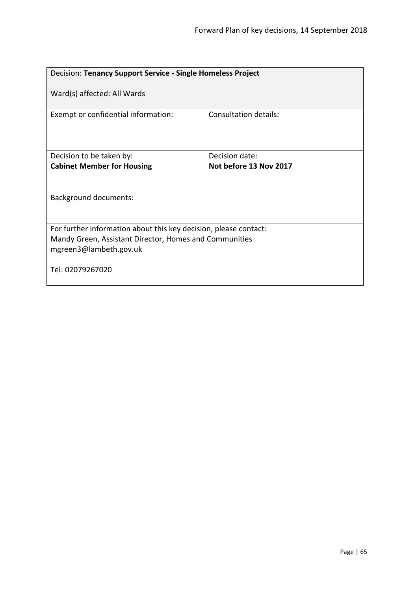<span id="page-64-0"></span>

| Decision: Tenancy Support Service - Single Homeless Project                                                                                          |                              |  |
|------------------------------------------------------------------------------------------------------------------------------------------------------|------------------------------|--|
| Ward(s) affected: All Wards                                                                                                                          |                              |  |
| Exempt or confidential information:                                                                                                                  | <b>Consultation details:</b> |  |
| Decision to be taken by:                                                                                                                             | Decision date:               |  |
| <b>Cabinet Member for Housing</b>                                                                                                                    | Not before 13 Nov 2017       |  |
| <b>Background documents:</b>                                                                                                                         |                              |  |
| For further information about this key decision, please contact:<br>Mandy Green, Assistant Director, Homes and Communities<br>mgreen3@lambeth.gov.uk |                              |  |
| Tel: 02079267020                                                                                                                                     |                              |  |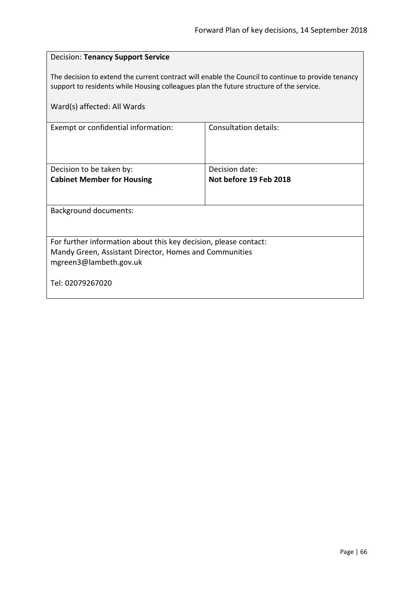<span id="page-65-0"></span>

| <b>Decision: Tenancy Support Service</b>                                                                                                                                                                                     |                        |  |
|------------------------------------------------------------------------------------------------------------------------------------------------------------------------------------------------------------------------------|------------------------|--|
| The decision to extend the current contract will enable the Council to continue to provide tenancy<br>support to residents while Housing colleagues plan the future structure of the service.<br>Ward(s) affected: All Wards |                        |  |
| Exempt or confidential information:                                                                                                                                                                                          | Consultation details:  |  |
|                                                                                                                                                                                                                              |                        |  |
| Decision to be taken by:                                                                                                                                                                                                     | Decision date:         |  |
| <b>Cabinet Member for Housing</b>                                                                                                                                                                                            | Not before 19 Feb 2018 |  |
|                                                                                                                                                                                                                              |                        |  |
| <b>Background documents:</b>                                                                                                                                                                                                 |                        |  |
|                                                                                                                                                                                                                              |                        |  |
| For further information about this key decision, please contact:                                                                                                                                                             |                        |  |
| Mandy Green, Assistant Director, Homes and Communities                                                                                                                                                                       |                        |  |
| mgreen3@lambeth.gov.uk                                                                                                                                                                                                       |                        |  |
| Tel: 02079267020                                                                                                                                                                                                             |                        |  |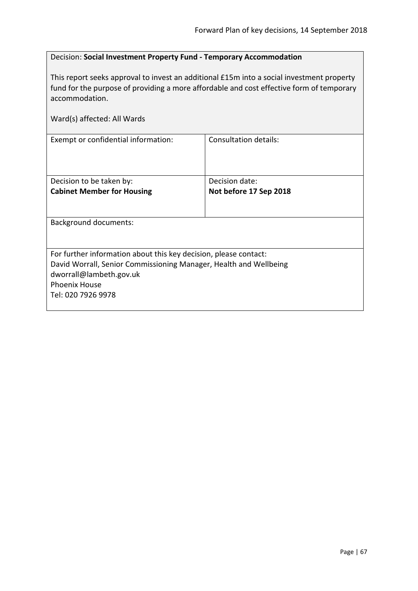# <span id="page-66-0"></span>Decision: **Social Investment Property Fund - Temporary Accommodation**

This report seeks approval to invest an additional £15m into a social investment property fund for the purpose of providing a more affordable and cost effective form of temporary accommodation.

| Ward(s) affected: All Wards                                                                                                                                                                                    |                                          |  |
|----------------------------------------------------------------------------------------------------------------------------------------------------------------------------------------------------------------|------------------------------------------|--|
| Exempt or confidential information:                                                                                                                                                                            | Consultation details:                    |  |
| Decision to be taken by:<br><b>Cabinet Member for Housing</b>                                                                                                                                                  | Decision date:<br>Not before 17 Sep 2018 |  |
| <b>Background documents:</b>                                                                                                                                                                                   |                                          |  |
| For further information about this key decision, please contact:<br>David Worrall, Senior Commissioning Manager, Health and Wellbeing<br>dworrall@lambeth.gov.uk<br><b>Phoenix House</b><br>Tel: 020 7926 9978 |                                          |  |